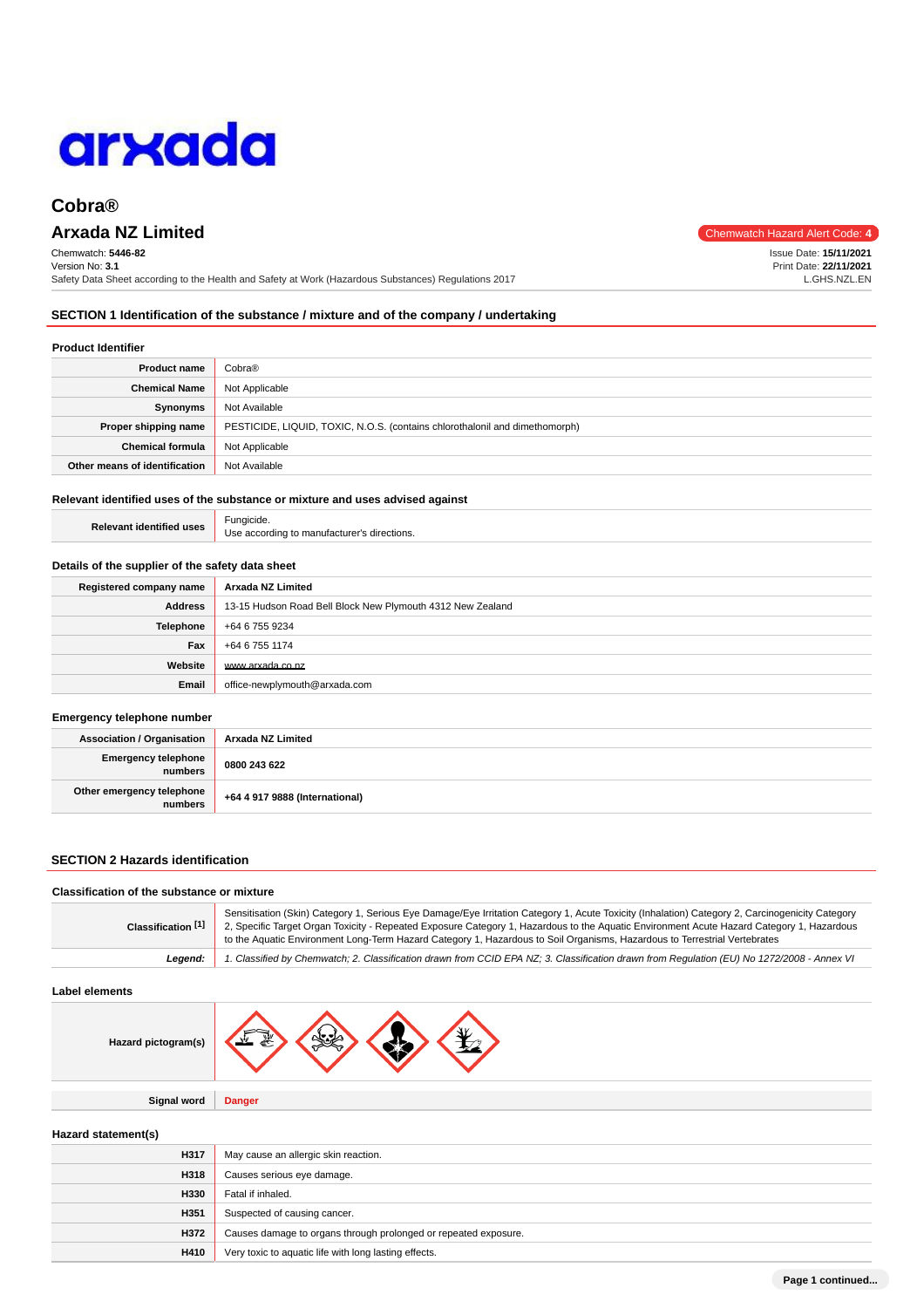

# **Arxada NZ Limited** Chemwatch Hazard Alert Code: 4

Chemwatch: **5446-82** Version No: **3.1** Safety Data Sheet according to the Health and Safety at Work (Hazardous Substances) Regulations 2017

Issue Date: **15/11/2021** Print Date: **22/11/2021** L.GHS.NZL.EN

**SECTION 1 Identification of the substance / mixture and of the company / undertaking**

# **Product Identifier**

| <b>Product name</b>           | Cobra®                                                                      |  |
|-------------------------------|-----------------------------------------------------------------------------|--|
| <b>Chemical Name</b>          | Not Applicable                                                              |  |
| Synonyms                      | Not Available                                                               |  |
| Proper shipping name          | PESTICIDE, LIQUID, TOXIC, N.O.S. (contains chlorothalonil and dimethomorph) |  |
| <b>Chemical formula</b>       | Not Applicable                                                              |  |
| Other means of identification | Not Available                                                               |  |

# **Relevant identified uses of the substance or mixture and uses advised against**

| d uses | Fungicide.                                  |
|--------|---------------------------------------------|
|        | Use according to manufacturer's directions. |

### **Details of the supplier of the safety data sheet**

| Registered company name | Arxada NZ Limited                                          |  |
|-------------------------|------------------------------------------------------------|--|
| Address                 | 13-15 Hudson Road Bell Block New Plymouth 4312 New Zealand |  |
| <b>Telephone</b>        | +64 6 755 9234                                             |  |
| Fax                     | +64 6 755 1174                                             |  |
| Website                 | www.arxada.co.nz                                           |  |
| Email                   | office-newplymouth@arxada.com                              |  |

### **Emergency telephone number**

**Relevant identified** 

| <b>Association / Organisation</b>    | Arxada NZ Limited              |
|--------------------------------------|--------------------------------|
| Emergency telephone<br>numbers       | 0800 243 622                   |
| Other emergency telephone<br>numbers | +64 4 917 9888 (International) |

# **SECTION 2 Hazards identification**

| Sensitisation (Skin) Category 1, Serious Eye Damage/Eye Irritation Category 1, Acute Toxicity (Inhalation) Category 2, Carcinogenicity Category<br>2, Specific Target Organ Toxicity - Repeated Exposure Category 1, Hazardous to the Aquatic Environment Acute Hazard Category 1, Hazardous<br>Classification [1]<br>to the Aquatic Environment Long-Term Hazard Category 1, Hazardous to Soil Organisms, Hazardous to Terrestrial Vertebrates |
|-------------------------------------------------------------------------------------------------------------------------------------------------------------------------------------------------------------------------------------------------------------------------------------------------------------------------------------------------------------------------------------------------------------------------------------------------|
| 1. Classified by Chemwatch; 2. Classification drawn from CCID EPA NZ; 3. Classification drawn from Regulation (EU) No 1272/2008 - Annex VI<br>Leaend:                                                                                                                                                                                                                                                                                           |

# **Label elements**

| Hazard pictogram(s) | 婴 |  |  |  |
|---------------------|---|--|--|--|
|---------------------|---|--|--|--|

**Signal word Danger**

# **Hazard statement(s)**

| H317 | May cause an allergic skin reaction.                            |  |
|------|-----------------------------------------------------------------|--|
| H318 | Causes serious eye damage.                                      |  |
| H330 | Fatal if inhaled.                                               |  |
| H351 | Suspected of causing cancer.                                    |  |
| H372 | Causes damage to organs through prolonged or repeated exposure. |  |
| H410 | Very toxic to aquatic life with long lasting effects.           |  |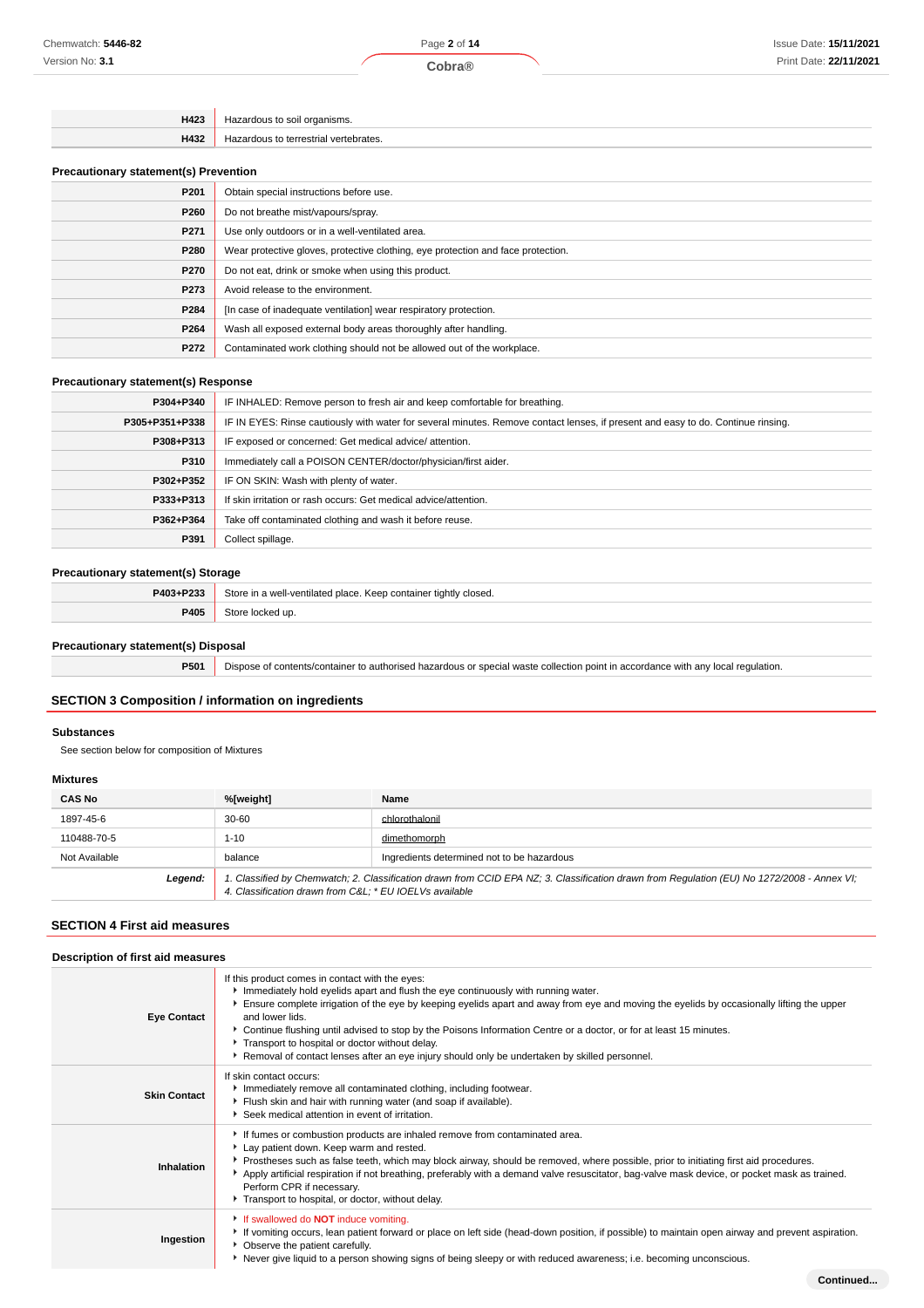| הווו |
|------|
|      |

# **Precautionary statement(s) Prevention**

| P <sub>201</sub> | Obtain special instructions before use.                                          |  |  |
|------------------|----------------------------------------------------------------------------------|--|--|
| P260             | Do not breathe mist/vapours/spray.                                               |  |  |
| P <sub>271</sub> | Use only outdoors or in a well-ventilated area.                                  |  |  |
| P280             | Wear protective gloves, protective clothing, eye protection and face protection. |  |  |
| P270             | Do not eat, drink or smoke when using this product.                              |  |  |
| P273             | Avoid release to the environment.                                                |  |  |
| P284             | [In case of inadequate ventilation] wear respiratory protection.                 |  |  |
| P264             | Wash all exposed external body areas thoroughly after handling.                  |  |  |
| P272             | Contaminated work clothing should not be allowed out of the workplace.           |  |  |

# **Precautionary statement(s) Response**

| P304+P340      | IF INHALED: Remove person to fresh air and keep comfortable for breathing.                                                       |  |  |
|----------------|----------------------------------------------------------------------------------------------------------------------------------|--|--|
| P305+P351+P338 | IF IN EYES: Rinse cautiously with water for several minutes. Remove contact lenses, if present and easy to do. Continue rinsing. |  |  |
| P308+P313      | IF exposed or concerned: Get medical advice/attention.                                                                           |  |  |
| P310           | Immediately call a POISON CENTER/doctor/physician/first aider.                                                                   |  |  |
| P302+P352      | IF ON SKIN: Wash with plenty of water.                                                                                           |  |  |
| P333+P313      | If skin irritation or rash occurs: Get medical advice/attention.                                                                 |  |  |
| P362+P364      | Take off contaminated clothing and wash it before reuse.                                                                         |  |  |
| P391           | Collect spillage.                                                                                                                |  |  |

# **Precautionary statement(s) Storage**

| P403+P233 | Store in a well-ventilated place. Keep container tightly closed. |  |
|-----------|------------------------------------------------------------------|--|
| P405      | .⊰tor                                                            |  |

# **Precautionary statement(s) Disposal**

**P501** Dispose of contents/container to authorised hazardous or special waste collection point in accordance with any local regulation.

# **SECTION 3 Composition / information on ingredients**

# **Substances**

See section below for composition of Mixtures

### **Mixtures**

| <b>CAS No</b> | %[weight]                                                                                                                                                                                             | Name                                       |
|---------------|-------------------------------------------------------------------------------------------------------------------------------------------------------------------------------------------------------|--------------------------------------------|
| 1897-45-6     | $30 - 60$                                                                                                                                                                                             | chlorothalonil                             |
| 110488-70-5   | $1 - 10$                                                                                                                                                                                              | dimethomorph                               |
| Not Available | balance                                                                                                                                                                                               | Ingredients determined not to be hazardous |
| Legend:       | 1. Classified by Chemwatch; 2. Classification drawn from CCID EPA NZ; 3. Classification drawn from Regulation (EU) No 1272/2008 - Annex VI;<br>4. Classification drawn from C&L * EU IOELVs available |                                            |

# **SECTION 4 First aid measures**

| Description of first aid measures |                                                                                                                                                                                                                                                                                                                                                                                                                                                                                                                                                                                 |
|-----------------------------------|---------------------------------------------------------------------------------------------------------------------------------------------------------------------------------------------------------------------------------------------------------------------------------------------------------------------------------------------------------------------------------------------------------------------------------------------------------------------------------------------------------------------------------------------------------------------------------|
| <b>Eye Contact</b>                | If this product comes in contact with the eyes:<br>Immediately hold eyelids apart and flush the eye continuously with running water.<br>Ensure complete irrigation of the eye by keeping eyelids apart and away from eye and moving the eyelids by occasionally lifting the upper<br>and lower lids.<br>▶ Continue flushing until advised to stop by the Poisons Information Centre or a doctor, or for at least 15 minutes.<br>Transport to hospital or doctor without delay.<br>Removal of contact lenses after an eye injury should only be undertaken by skilled personnel. |
| <b>Skin Contact</b>               | If skin contact occurs:<br>Immediately remove all contaminated clothing, including footwear.<br>Flush skin and hair with running water (and soap if available).<br>Seek medical attention in event of irritation.                                                                                                                                                                                                                                                                                                                                                               |
| Inhalation                        | If fumes or combustion products are inhaled remove from contaminated area.<br>Lay patient down. Keep warm and rested.<br>Prostheses such as false teeth, which may block airway, should be removed, where possible, prior to initiating first aid procedures.<br>Apply artificial respiration if not breathing, preferably with a demand valve resuscitator, bag-valve mask device, or pocket mask as trained.<br>Perform CPR if necessary.<br>Transport to hospital, or doctor, without delay.                                                                                 |
| Ingestion                         | If swallowed do <b>NOT</b> induce vomiting.<br>If vomiting occurs, lean patient forward or place on left side (head-down position, if possible) to maintain open airway and prevent aspiration.<br>• Observe the patient carefully.<br>▶ Never give liquid to a person showing signs of being sleepy or with reduced awareness; i.e. becoming unconscious.                                                                                                                                                                                                                      |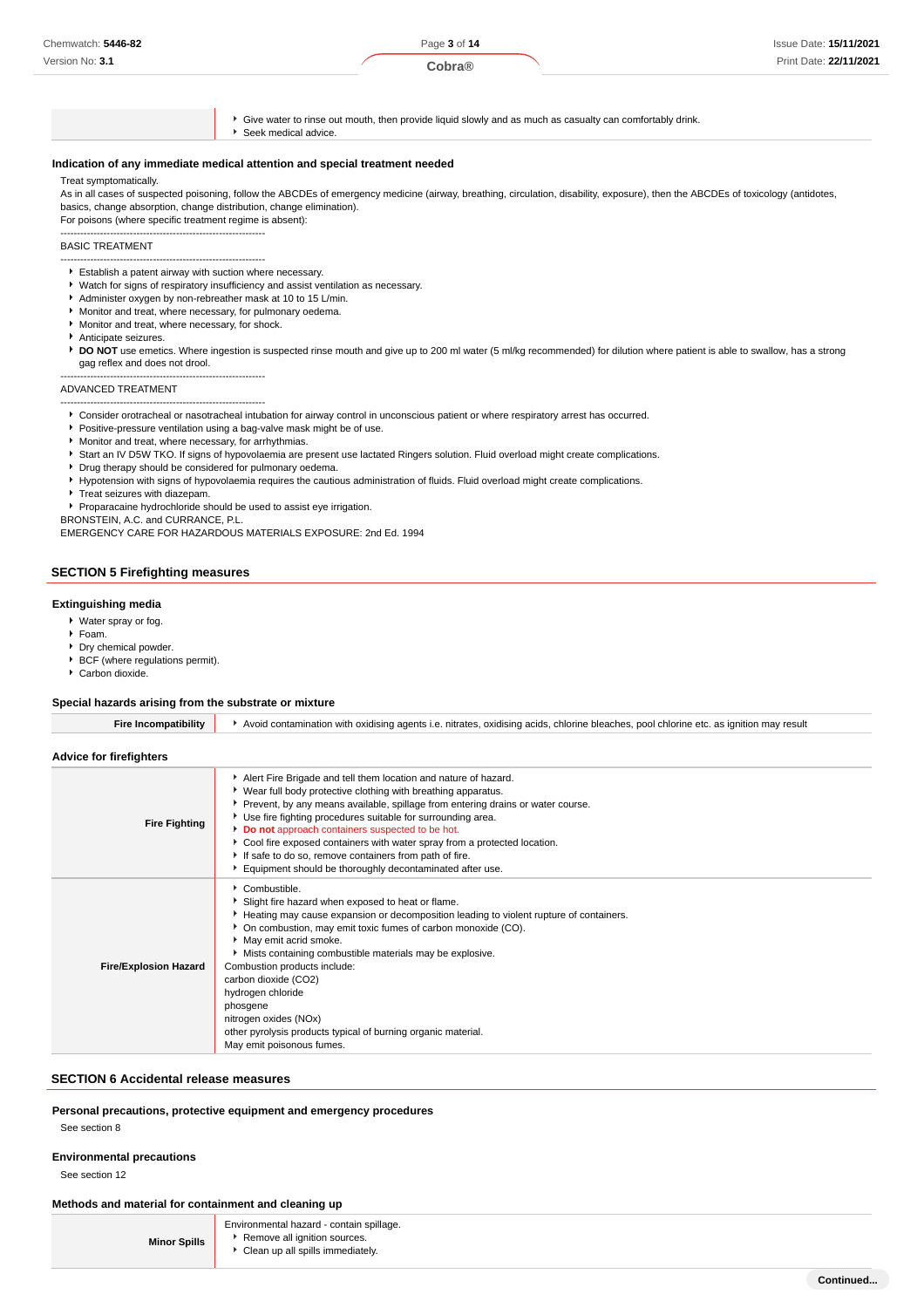| Chemwatch: 5446-82 | Page 3 of 14 | Issue Date: 15/11/2021 |
|--------------------|--------------|------------------------|
| Version No: 3.1    | Cobra®       | Print Date: 22/11/2021 |

Give water to rinse out mouth, then provide liquid slowly and as much as casualty can comfortably drink.

Seek medical advice.

# **Indication of any immediate medical attention and special treatment needed**

### Treat symptomatically.

As in all cases of suspected poisoning, follow the ABCDEs of emergency medicine (airway, breathing, circulation, disability, exposure), then the ABCDEs of toxicology (antidotes, basics, change absorption, change distribution, change elimination).

For poisons (where specific treatment regime is absent): --------------------------------------------------------------

### BASIC TREATMENT

- -------------------------------------------------------------- Establish a patent airway with suction where necessary.
- Watch for signs of respiratory insufficiency and assist ventilation as necessary.
- Administer oxygen by non-rebreather mask at 10 to 15 L/min.
- Monitor and treat, where necessary, for pulmonary oedema.
- Monitor and treat, where necessary, for shock.

--------------------------------------------------------------

- Anticipate seizures.
- **DO NOT** use emetics. Where ingestion is suspected rinse mouth and give up to 200 ml water (5 ml/kg recommended) for dilution where patient is able to swallow, has a strong gag reflex and does not drool.

### ADVANCED TREATMENT

- --------------------------------------------------------------
- Consider orotracheal or nasotracheal intubation for airway control in unconscious patient or where respiratory arrest has occurred.
- **Positive-pressure ventilation using a bag-valve mask might be of use.**
- Monitor and treat, where necessary, for arrhythmias.
- Start an IV D5W TKO. If signs of hypovolaemia are present use lactated Ringers solution. Fluid overload might create complications.
- **Drug therapy should be considered for pulmonary oedema.**
- Hypotension with signs of hypovolaemia requires the cautious administration of fluids. Fluid overload might create complications.
- **Treat seizures with diazepam.**
- Proparacaine hydrochloride should be used to assist eye irrigation.

BRONSTEIN, A.C. and CURRANCE, P.L.

EMERGENCY CARE FOR HAZARDOUS MATERIALS EXPOSURE: 2nd Ed. 1994

# **SECTION 5 Firefighting measures**

### **Extinguishing media**

- Water spray or fog.
- Foam.
- **Dry chemical powder.**
- $\blacktriangleright$  BCF (where regulations permit).
- Carbon dioxide.

# **Special hazards arising from the substrate or mixture**

| <b>Fire Incompatibility</b>  | Avoid contamination with oxidising agents i.e. nitrates, oxidising acids, chlorine bleaches, pool chlorine etc. as ignition may result                                                                                                                                                                                                                                                                                                                                                                                                   |
|------------------------------|------------------------------------------------------------------------------------------------------------------------------------------------------------------------------------------------------------------------------------------------------------------------------------------------------------------------------------------------------------------------------------------------------------------------------------------------------------------------------------------------------------------------------------------|
| Advice for firefighters      |                                                                                                                                                                                                                                                                                                                                                                                                                                                                                                                                          |
| <b>Fire Fighting</b>         | Alert Fire Brigade and tell them location and nature of hazard.<br>▶ Wear full body protective clothing with breathing apparatus.<br>Prevent, by any means available, spillage from entering drains or water course.<br>Use fire fighting procedures suitable for surrounding area.<br>Do not approach containers suspected to be hot.<br>Cool fire exposed containers with water spray from a protected location.<br>If safe to do so, remove containers from path of fire.<br>Equipment should be thoroughly decontaminated after use. |
| <b>Fire/Explosion Hazard</b> | Combustible.<br>Slight fire hazard when exposed to heat or flame.<br>Heating may cause expansion or decomposition leading to violent rupture of containers.<br>• On combustion, may emit toxic fumes of carbon monoxide (CO).<br>May emit acrid smoke.<br>Mists containing combustible materials may be explosive.<br>Combustion products include:<br>carbon dioxide (CO2)<br>hydrogen chloride<br>phosgene<br>nitrogen oxides (NOx)<br>other pyrolysis products typical of burning organic material.<br>May emit poisonous fumes.       |

# **SECTION 6 Accidental release measures**

# **Personal precautions, protective equipment and emergency procedures**

See section 8

# **Environmental precautions**

See section 12

# **Methods and material for containment and cleaning up**

|                     | Environmental hazard - contain spillage. |
|---------------------|------------------------------------------|
| <b>Minor Spills</b> | Remove all ignition sources.             |

Remove all ignition sources. Clean up all spills immediately.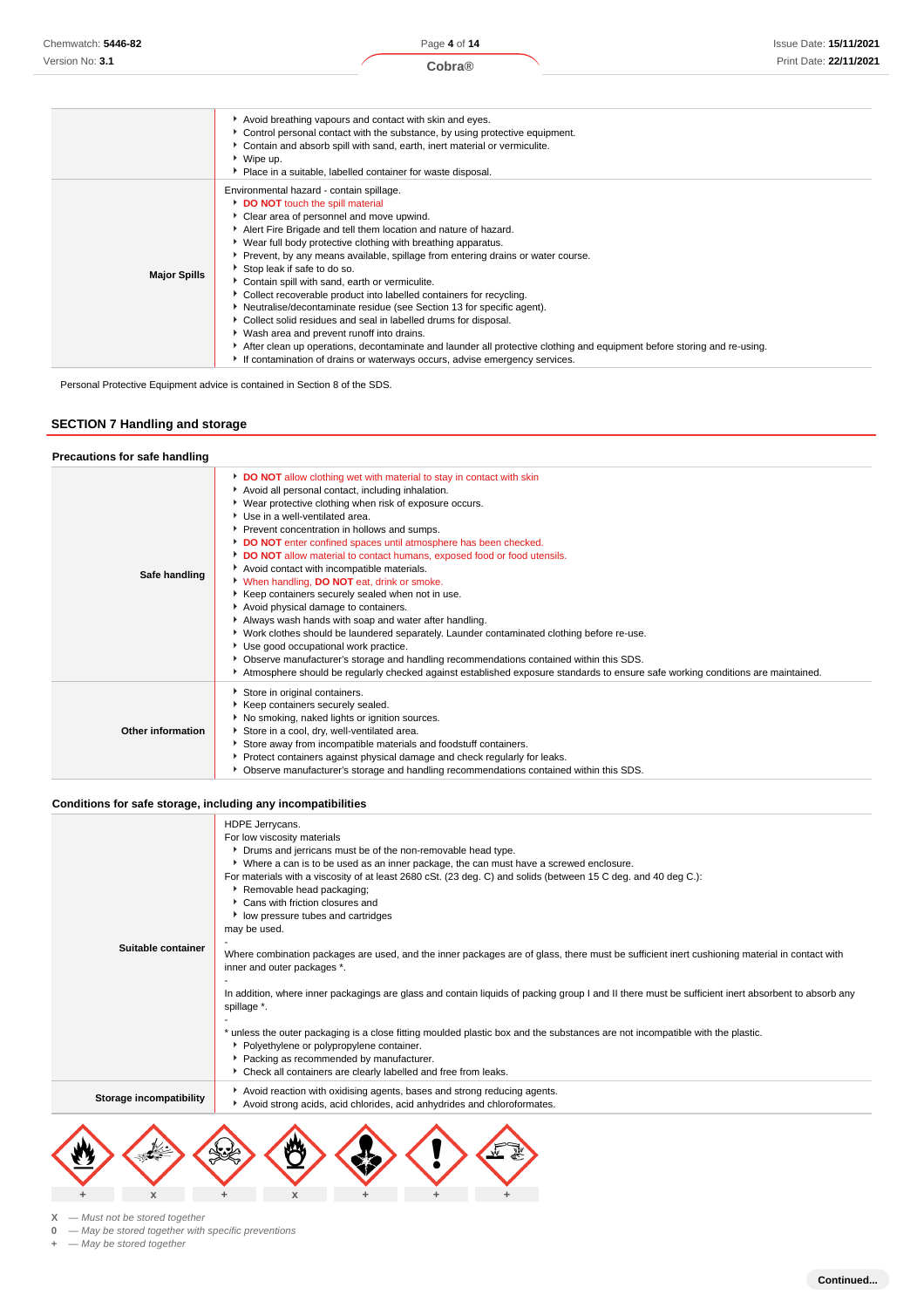# Issue Date: **15/11/2021** Print Date: **22/11/2021**

|                     | Avoid breathing vapours and contact with skin and eyes.<br>Control personal contact with the substance, by using protective equipment.<br>Contain and absorb spill with sand, earth, inert material or vermiculite.<br>▶ Wipe up.<br>• Place in a suitable, labelled container for waste disposal.                                                                                                                                                                                                                                                                                                                                                                                                                                                                                                                              |
|---------------------|---------------------------------------------------------------------------------------------------------------------------------------------------------------------------------------------------------------------------------------------------------------------------------------------------------------------------------------------------------------------------------------------------------------------------------------------------------------------------------------------------------------------------------------------------------------------------------------------------------------------------------------------------------------------------------------------------------------------------------------------------------------------------------------------------------------------------------|
| <b>Major Spills</b> | Environmental hazard - contain spillage.<br>DO NOT touch the spill material<br>Clear area of personnel and move upwind.<br>Alert Fire Brigade and tell them location and nature of hazard.<br>▶ Wear full body protective clothing with breathing apparatus.<br>▶ Prevent, by any means available, spillage from entering drains or water course.<br>Stop leak if safe to do so.<br>Contain spill with sand, earth or vermiculite.<br>▶ Collect recoverable product into labelled containers for recycling.<br>Neutralise/decontaminate residue (see Section 13 for specific agent).<br>Collect solid residues and seal in labelled drums for disposal.<br>Wash area and prevent runoff into drains.<br>After clean up operations, decontaminate and launder all protective clothing and equipment before storing and re-using. |
|                     | If contamination of drains or waterways occurs, advise emergency services.                                                                                                                                                                                                                                                                                                                                                                                                                                                                                                                                                                                                                                                                                                                                                      |

Personal Protective Equipment advice is contained in Section 8 of the SDS.

# **SECTION 7 Handling and storage**

### **Precautions for safe handling Safe handling DO NOT** allow clothing wet with material to stay in contact with skin Avoid all personal contact, including inhalation. Wear protective clothing when risk of exposure occurs. Use in a well-ventilated area. Prevent concentration in hollows and sumps. **DO NOT** enter confined spaces until atmosphere has been checked. **DO NOT** allow material to contact humans, exposed food or food utensils. Avoid contact with incompatible materials. When handling, **DO NOT** eat, drink or smoke. Keep containers securely sealed when not in use. Avoid physical damage to containers. Always wash hands with soap and water after handling. Work clothes should be laundered separately. Launder contaminated clothing before re-use. ▶ Use good occupational work practice. Observe manufacturer's storage and handling recommendations contained within this SDS. Atmosphere should be regularly checked against established exposure standards to ensure safe working conditions are maintained. **Other information** Store in original containers. Keep containers securely sealed.  $\blacktriangleright$  No smoking, naked lights or ignition sources. Store in a cool, dry, well-ventilated area. Store away from incompatible materials and foodstuff containers. **Protect containers against physical damage and check regularly for leaks.** Observe manufacturer's storage and handling recommendations contained within this SDS.

### **Conditions for safe storage, including any incompatibilities**

|                         | HDPE Jerrycans.                                                                                                                                                             |
|-------------------------|-----------------------------------------------------------------------------------------------------------------------------------------------------------------------------|
|                         | For low viscosity materials                                                                                                                                                 |
|                         | • Drums and jerricans must be of the non-removable head type.                                                                                                               |
|                         | ▶ Where a can is to be used as an inner package, the can must have a screwed enclosure.                                                                                     |
|                         | For materials with a viscosity of at least 2680 cSt. (23 deg. C) and solids (between 15 C deg. and 40 deg C.):                                                              |
|                         | Removable head packaging;                                                                                                                                                   |
|                         | Cans with friction closures and                                                                                                                                             |
|                         | low pressure tubes and cartridges                                                                                                                                           |
|                         | may be used.                                                                                                                                                                |
| Suitable container      |                                                                                                                                                                             |
|                         | Where combination packages are used, and the inner packages are of glass, there must be sufficient inert cushioning material in contact with<br>inner and outer packages *. |
|                         |                                                                                                                                                                             |
|                         | In addition, where inner packagings are glass and contain liquids of packing group I and II there must be sufficient inert absorbent to absorb any<br>spillage *.           |
|                         |                                                                                                                                                                             |
|                         | * unless the outer packaging is a close fitting moulded plastic box and the substances are not incompatible with the plastic.                                               |
|                         | • Polyethylene or polypropylene container.                                                                                                                                  |
|                         | Packing as recommended by manufacturer.                                                                                                                                     |
|                         | Check all containers are clearly labelled and free from leaks.                                                                                                              |
| Storage incompatibility | Avoid reaction with oxidising agents, bases and strong reducing agents.                                                                                                     |
|                         | Avoid strong acids, acid chlorides, acid anhydrides and chloroformates.                                                                                                     |
|                         |                                                                                                                                                                             |



**X** — Must not be stored together

**0** — May be stored together with specific preventions

**+** — May be stored together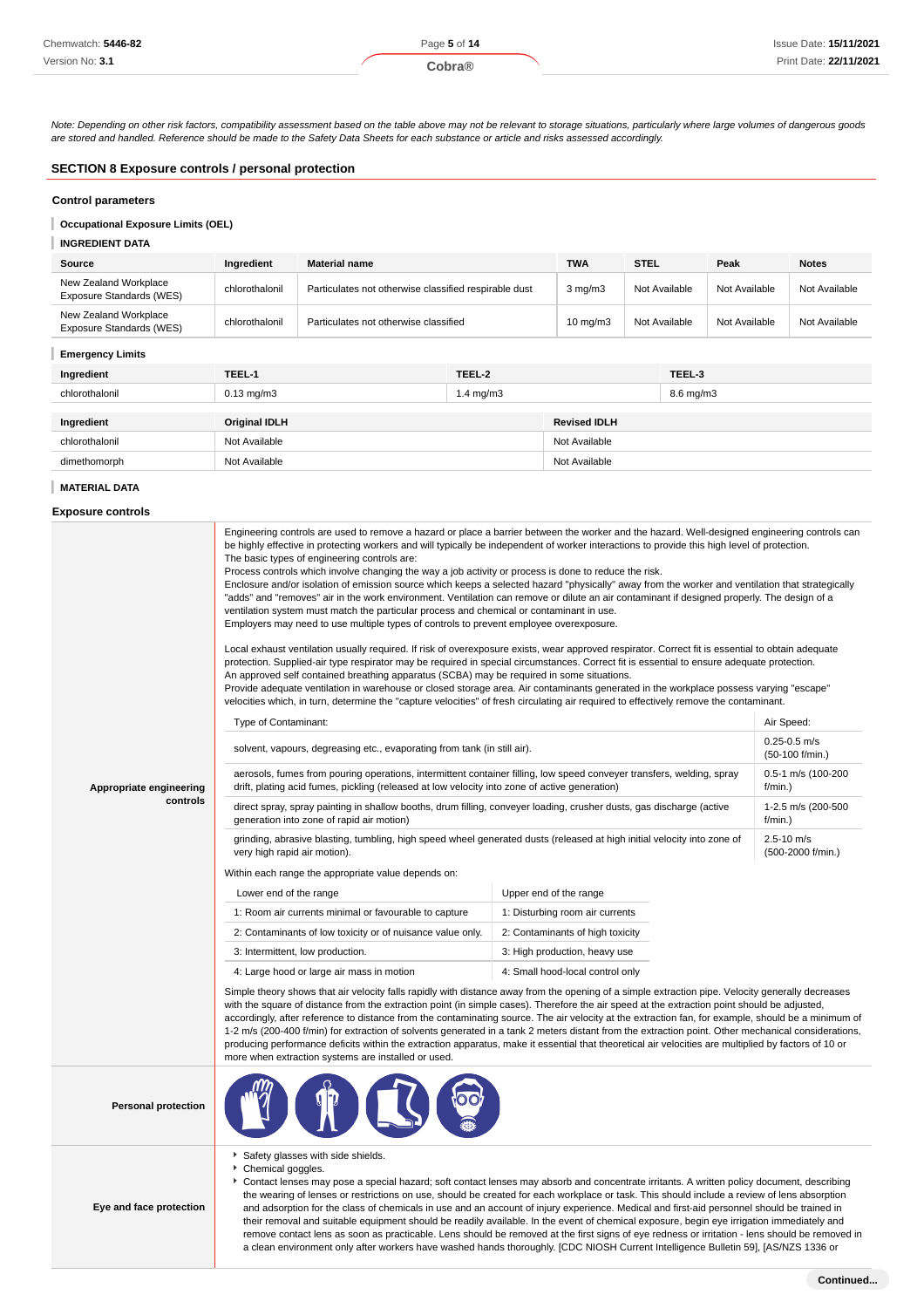Note: Depending on other risk factors, compatibility assessment based on the table above may not be relevant to storage situations, particularly where large volumes of dangerous goods are stored and handled. Reference should be made to the Safety Data Sheets for each substance or article and risks assessed accordingly.

# **SECTION 8 Exposure controls / personal protection**

# **Control parameters**

**Occupational Exposure Limits (OEL)**

# **INGREDIENT DATA**

| Source                                            | Ingredient     | <b>Material name</b>                                  | <b>TWA</b>        | <b>STEL</b>   | Peak          | <b>Notes</b>  |
|---------------------------------------------------|----------------|-------------------------------------------------------|-------------------|---------------|---------------|---------------|
| New Zealand Workplace<br>Exposure Standards (WES) | chlorothalonil | Particulates not otherwise classified respirable dust | $3 \text{ mg/m}$  | Not Available | Not Available | Not Available |
| New Zealand Workplace<br>Exposure Standards (WES) | chlorothalonil | Particulates not otherwise classified                 | $10 \text{ mg/m}$ | Not Available | Not Available | Not Available |
|                                                   |                |                                                       |                   |               |               |               |

# **Emergency Limits**

| Ingredient     | TEEL-1               | TEEL-2               |                     | TEEL-3               |
|----------------|----------------------|----------------------|---------------------|----------------------|
| chlorothalonil | $0.13$ mg/m $3$      | $1.4 \text{ mg/m}$ 3 |                     | $8.6 \text{ mg/m}$ 3 |
|                |                      |                      |                     |                      |
| Ingredient     | <b>Original IDLH</b> |                      | <b>Revised IDLH</b> |                      |
| chlorothalonil | Not Available        |                      | Not Available       |                      |
| dimethomorph   | Not Available        |                      | Not Available       |                      |

### **MATERIAL DATA**

### **Exposure controls**

|                            | Engineering controls are used to remove a hazard or place a barrier between the worker and the hazard. Well-designed engineering controls can<br>be highly effective in protecting workers and will typically be independent of worker interactions to provide this high level of protection.<br>The basic types of engineering controls are:<br>Process controls which involve changing the way a job activity or process is done to reduce the risk.<br>Enclosure and/or isolation of emission source which keeps a selected hazard "physically" away from the worker and ventilation that strategically<br>"adds" and "removes" air in the work environment. Ventilation can remove or dilute an air contaminant if designed properly. The design of a<br>ventilation system must match the particular process and chemical or contaminant in use.<br>Employers may need to use multiple types of controls to prevent employee overexposure.<br>Local exhaust ventilation usually required. If risk of overexposure exists, wear approved respirator. Correct fit is essential to obtain adequate<br>protection. Supplied-air type respirator may be required in special circumstances. Correct fit is essential to ensure adequate protection.<br>An approved self contained breathing apparatus (SCBA) may be required in some situations.<br>Provide adequate ventilation in warehouse or closed storage area. Air contaminants generated in the workplace possess varying "escape"<br>velocities which, in turn, determine the "capture velocities" of fresh circulating air required to effectively remove the contaminant. |                                  |                                       |
|----------------------------|-------------------------------------------------------------------------------------------------------------------------------------------------------------------------------------------------------------------------------------------------------------------------------------------------------------------------------------------------------------------------------------------------------------------------------------------------------------------------------------------------------------------------------------------------------------------------------------------------------------------------------------------------------------------------------------------------------------------------------------------------------------------------------------------------------------------------------------------------------------------------------------------------------------------------------------------------------------------------------------------------------------------------------------------------------------------------------------------------------------------------------------------------------------------------------------------------------------------------------------------------------------------------------------------------------------------------------------------------------------------------------------------------------------------------------------------------------------------------------------------------------------------------------------------------------------------------------------------------------------------------------------|----------------------------------|---------------------------------------|
|                            | Type of Contaminant:                                                                                                                                                                                                                                                                                                                                                                                                                                                                                                                                                                                                                                                                                                                                                                                                                                                                                                                                                                                                                                                                                                                                                                                                                                                                                                                                                                                                                                                                                                                                                                                                                |                                  | Air Speed:                            |
|                            | solvent, vapours, degreasing etc., evaporating from tank (in still air).                                                                                                                                                                                                                                                                                                                                                                                                                                                                                                                                                                                                                                                                                                                                                                                                                                                                                                                                                                                                                                                                                                                                                                                                                                                                                                                                                                                                                                                                                                                                                            |                                  | $0.25 - 0.5$ m/s<br>$(50-100$ f/min.) |
| Appropriate engineering    | aerosols, fumes from pouring operations, intermittent container filling, low speed conveyer transfers, welding, spray<br>drift, plating acid fumes, pickling (released at low velocity into zone of active generation)                                                                                                                                                                                                                                                                                                                                                                                                                                                                                                                                                                                                                                                                                                                                                                                                                                                                                                                                                                                                                                                                                                                                                                                                                                                                                                                                                                                                              |                                  | 0.5-1 m/s (100-200<br>$f/min.$ )      |
| controls                   | direct spray, spray painting in shallow booths, drum filling, conveyer loading, crusher dusts, gas discharge (active<br>generation into zone of rapid air motion)                                                                                                                                                                                                                                                                                                                                                                                                                                                                                                                                                                                                                                                                                                                                                                                                                                                                                                                                                                                                                                                                                                                                                                                                                                                                                                                                                                                                                                                                   |                                  | 1-2.5 m/s (200-500<br>$f/min.$ )      |
|                            | grinding, abrasive blasting, tumbling, high speed wheel generated dusts (released at high initial velocity into zone of<br>very high rapid air motion).                                                                                                                                                                                                                                                                                                                                                                                                                                                                                                                                                                                                                                                                                                                                                                                                                                                                                                                                                                                                                                                                                                                                                                                                                                                                                                                                                                                                                                                                             |                                  | $2.5 - 10$ m/s<br>(500-2000 f/min.)   |
|                            | Within each range the appropriate value depends on:                                                                                                                                                                                                                                                                                                                                                                                                                                                                                                                                                                                                                                                                                                                                                                                                                                                                                                                                                                                                                                                                                                                                                                                                                                                                                                                                                                                                                                                                                                                                                                                 |                                  |                                       |
|                            | Lower end of the range                                                                                                                                                                                                                                                                                                                                                                                                                                                                                                                                                                                                                                                                                                                                                                                                                                                                                                                                                                                                                                                                                                                                                                                                                                                                                                                                                                                                                                                                                                                                                                                                              | Upper end of the range           |                                       |
|                            | 1: Room air currents minimal or favourable to capture                                                                                                                                                                                                                                                                                                                                                                                                                                                                                                                                                                                                                                                                                                                                                                                                                                                                                                                                                                                                                                                                                                                                                                                                                                                                                                                                                                                                                                                                                                                                                                               | 1: Disturbing room air currents  |                                       |
|                            | 2: Contaminants of low toxicity or of nuisance value only.                                                                                                                                                                                                                                                                                                                                                                                                                                                                                                                                                                                                                                                                                                                                                                                                                                                                                                                                                                                                                                                                                                                                                                                                                                                                                                                                                                                                                                                                                                                                                                          | 2: Contaminants of high toxicity |                                       |
|                            | 3: Intermittent, low production.                                                                                                                                                                                                                                                                                                                                                                                                                                                                                                                                                                                                                                                                                                                                                                                                                                                                                                                                                                                                                                                                                                                                                                                                                                                                                                                                                                                                                                                                                                                                                                                                    | 3: High production, heavy use    |                                       |
|                            | 4: Large hood or large air mass in motion                                                                                                                                                                                                                                                                                                                                                                                                                                                                                                                                                                                                                                                                                                                                                                                                                                                                                                                                                                                                                                                                                                                                                                                                                                                                                                                                                                                                                                                                                                                                                                                           | 4: Small hood-local control only |                                       |
|                            | Simple theory shows that air velocity falls rapidly with distance away from the opening of a simple extraction pipe. Velocity generally decreases<br>with the square of distance from the extraction point (in simple cases). Therefore the air speed at the extraction point should be adjusted,<br>accordingly, after reference to distance from the contaminating source. The air velocity at the extraction fan, for example, should be a minimum of<br>1-2 m/s (200-400 f/min) for extraction of solvents generated in a tank 2 meters distant from the extraction point. Other mechanical considerations,<br>producing performance deficits within the extraction apparatus, make it essential that theoretical air velocities are multiplied by factors of 10 or<br>more when extraction systems are installed or used.                                                                                                                                                                                                                                                                                                                                                                                                                                                                                                                                                                                                                                                                                                                                                                                                      |                                  |                                       |
| <b>Personal protection</b> |                                                                                                                                                                                                                                                                                                                                                                                                                                                                                                                                                                                                                                                                                                                                                                                                                                                                                                                                                                                                                                                                                                                                                                                                                                                                                                                                                                                                                                                                                                                                                                                                                                     |                                  |                                       |

Safety glasses with side shields.

Chemical goggles.

**Eye and face protection**

Contact lenses may pose a special hazard; soft contact lenses may absorb and concentrate irritants. A written policy document, describing the wearing of lenses or restrictions on use, should be created for each workplace or task. This should include a review of lens absorption and adsorption for the class of chemicals in use and an account of injury experience. Medical and first-aid personnel should be trained in their removal and suitable equipment should be readily available. In the event of chemical exposure, begin eye irrigation immediately and remove contact lens as soon as practicable. Lens should be removed at the first signs of eye redness or irritation - lens should be removed in a clean environment only after workers have washed hands thoroughly. [CDC NIOSH Current Intelligence Bulletin 59], [AS/NZS 1336 or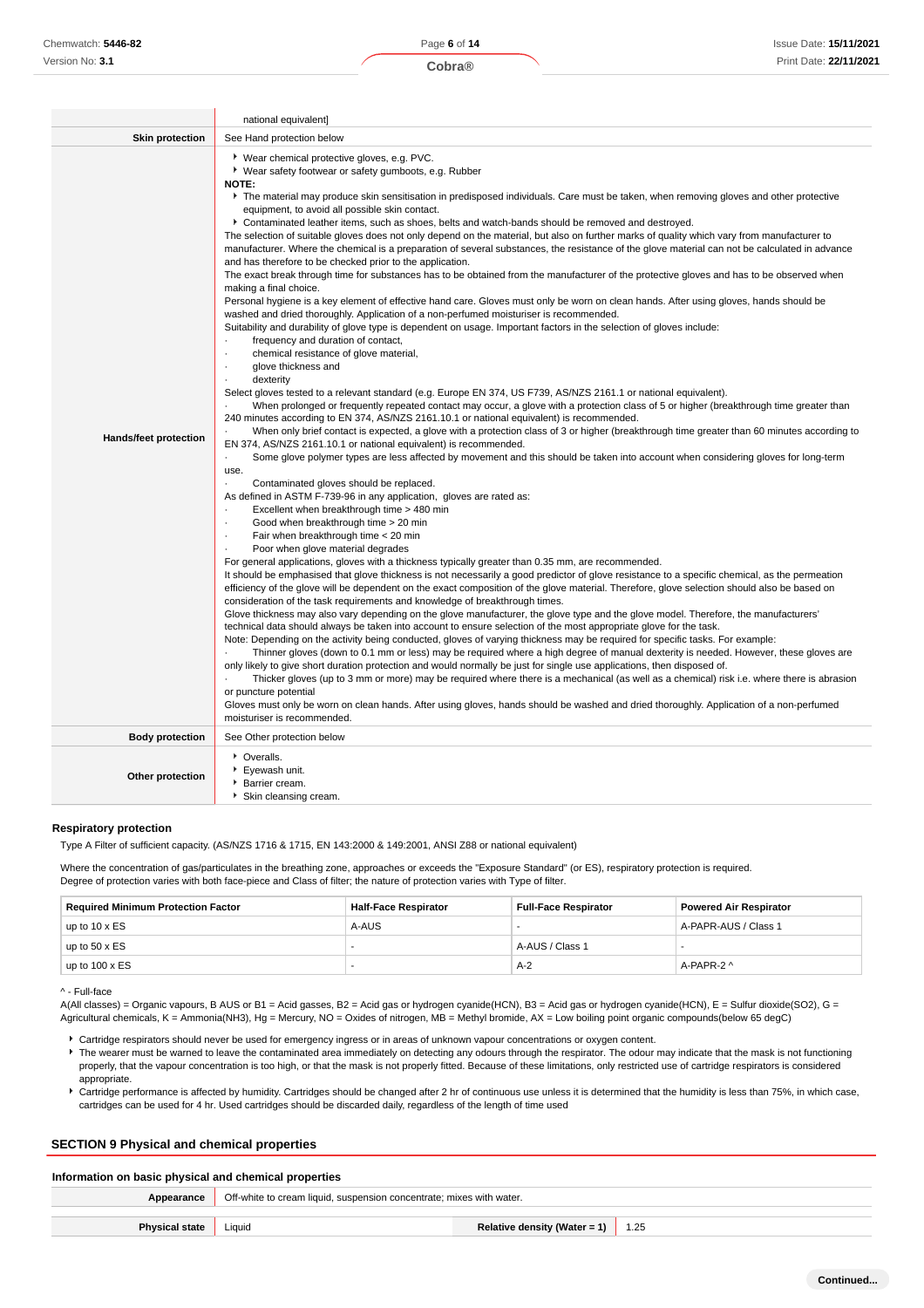|                              | national equivalent]                                                                                                                                                                                                                                                                                                                                                                                                                                                                                                                                                                                                                                                                                                                                                                                                                                                                                                                                                                                                                                                                                                                                                                                                                                                                                                                                                                                                                                                                                                                                                                                                                                                                                                                                                                                                                                                                                                                                                                                                                                                                                                                                                                                                                                                                                                                                                                                                                                                                                                                                                                                                                                                                                                                                                                                                                                                                                                                                                                                                                                                                                                                                                                                                                                                                                                                                                                                                                                                                                                                                                                                                                                                                                                                                                                                                                                                                                                                                                                                                   |
|------------------------------|------------------------------------------------------------------------------------------------------------------------------------------------------------------------------------------------------------------------------------------------------------------------------------------------------------------------------------------------------------------------------------------------------------------------------------------------------------------------------------------------------------------------------------------------------------------------------------------------------------------------------------------------------------------------------------------------------------------------------------------------------------------------------------------------------------------------------------------------------------------------------------------------------------------------------------------------------------------------------------------------------------------------------------------------------------------------------------------------------------------------------------------------------------------------------------------------------------------------------------------------------------------------------------------------------------------------------------------------------------------------------------------------------------------------------------------------------------------------------------------------------------------------------------------------------------------------------------------------------------------------------------------------------------------------------------------------------------------------------------------------------------------------------------------------------------------------------------------------------------------------------------------------------------------------------------------------------------------------------------------------------------------------------------------------------------------------------------------------------------------------------------------------------------------------------------------------------------------------------------------------------------------------------------------------------------------------------------------------------------------------------------------------------------------------------------------------------------------------------------------------------------------------------------------------------------------------------------------------------------------------------------------------------------------------------------------------------------------------------------------------------------------------------------------------------------------------------------------------------------------------------------------------------------------------------------------------------------------------------------------------------------------------------------------------------------------------------------------------------------------------------------------------------------------------------------------------------------------------------------------------------------------------------------------------------------------------------------------------------------------------------------------------------------------------------------------------------------------------------------------------------------------------------------------------------------------------------------------------------------------------------------------------------------------------------------------------------------------------------------------------------------------------------------------------------------------------------------------------------------------------------------------------------------------------------------------------------------------------------------------------------------------------|
| <b>Skin protection</b>       | See Hand protection below                                                                                                                                                                                                                                                                                                                                                                                                                                                                                                                                                                                                                                                                                                                                                                                                                                                                                                                                                                                                                                                                                                                                                                                                                                                                                                                                                                                                                                                                                                                                                                                                                                                                                                                                                                                                                                                                                                                                                                                                                                                                                                                                                                                                                                                                                                                                                                                                                                                                                                                                                                                                                                                                                                                                                                                                                                                                                                                                                                                                                                                                                                                                                                                                                                                                                                                                                                                                                                                                                                                                                                                                                                                                                                                                                                                                                                                                                                                                                                                              |
| <b>Hands/feet protection</b> | * Wear chemical protective gloves, e.g. PVC.<br>• Wear safety footwear or safety gumboots, e.g. Rubber<br><b>NOTE:</b><br>The material may produce skin sensitisation in predisposed individuals. Care must be taken, when removing gloves and other protective<br>equipment, to avoid all possible skin contact.<br>▶ Contaminated leather items, such as shoes, belts and watch-bands should be removed and destroyed.<br>The selection of suitable gloves does not only depend on the material, but also on further marks of quality which vary from manufacturer to<br>manufacturer. Where the chemical is a preparation of several substances, the resistance of the glove material can not be calculated in advance<br>and has therefore to be checked prior to the application.<br>The exact break through time for substances has to be obtained from the manufacturer of the protective gloves and has to be observed when<br>making a final choice.<br>Personal hygiene is a key element of effective hand care. Gloves must only be worn on clean hands. After using gloves, hands should be<br>washed and dried thoroughly. Application of a non-perfumed moisturiser is recommended.<br>Suitability and durability of glove type is dependent on usage. Important factors in the selection of gloves include:<br>frequency and duration of contact,<br>$\cdot$<br>chemical resistance of glove material,<br>glove thickness and<br>$\cdot$<br>dexterity<br>Select gloves tested to a relevant standard (e.g. Europe EN 374, US F739, AS/NZS 2161.1 or national equivalent).<br>When prolonged or frequently repeated contact may occur, a glove with a protection class of 5 or higher (breakthrough time greater than<br>240 minutes according to EN 374, AS/NZS 2161.10.1 or national equivalent) is recommended.<br>When only brief contact is expected, a glove with a protection class of 3 or higher (breakthrough time greater than 60 minutes according to<br>EN 374, AS/NZS 2161.10.1 or national equivalent) is recommended.<br>Some glove polymer types are less affected by movement and this should be taken into account when considering gloves for long-term<br>use.<br>Contaminated gloves should be replaced.<br>As defined in ASTM F-739-96 in any application, gloves are rated as:<br>Excellent when breakthrough time > 480 min<br>Good when breakthrough time > 20 min<br>$\cdot$<br>Fair when breakthrough time < 20 min<br>$\cdot$<br>Poor when glove material degrades<br>For general applications, gloves with a thickness typically greater than 0.35 mm, are recommended.<br>It should be emphasised that glove thickness is not necessarily a good predictor of glove resistance to a specific chemical, as the permeation<br>efficiency of the glove will be dependent on the exact composition of the glove material. Therefore, glove selection should also be based on<br>consideration of the task requirements and knowledge of breakthrough times.<br>Glove thickness may also vary depending on the glove manufacturer, the glove type and the glove model. Therefore, the manufacturers'<br>technical data should always be taken into account to ensure selection of the most appropriate glove for the task.<br>Note: Depending on the activity being conducted, gloves of varying thickness may be required for specific tasks. For example:<br>Thinner gloves (down to 0.1 mm or less) may be required where a high degree of manual dexterity is needed. However, these gloves are<br>only likely to give short duration protection and would normally be just for single use applications, then disposed of.<br>Thicker gloves (up to 3 mm or more) may be required where there is a mechanical (as well as a chemical) risk i.e. where there is abrasion<br>or puncture potential<br>Gloves must only be worn on clean hands. After using gloves, hands should be washed and dried thoroughly. Application of a non-perfumed<br>moisturiser is recommended. |
| <b>Body protection</b>       | See Other protection below                                                                                                                                                                                                                                                                                                                                                                                                                                                                                                                                                                                                                                                                                                                                                                                                                                                                                                                                                                                                                                                                                                                                                                                                                                                                                                                                                                                                                                                                                                                                                                                                                                                                                                                                                                                                                                                                                                                                                                                                                                                                                                                                                                                                                                                                                                                                                                                                                                                                                                                                                                                                                                                                                                                                                                                                                                                                                                                                                                                                                                                                                                                                                                                                                                                                                                                                                                                                                                                                                                                                                                                                                                                                                                                                                                                                                                                                                                                                                                                             |
| Other protection             | • Overalls.<br>▶ Eyewash unit.<br>▶ Barrier cream.<br>▶ Skin cleansing cream.                                                                                                                                                                                                                                                                                                                                                                                                                                                                                                                                                                                                                                                                                                                                                                                                                                                                                                                                                                                                                                                                                                                                                                                                                                                                                                                                                                                                                                                                                                                                                                                                                                                                                                                                                                                                                                                                                                                                                                                                                                                                                                                                                                                                                                                                                                                                                                                                                                                                                                                                                                                                                                                                                                                                                                                                                                                                                                                                                                                                                                                                                                                                                                                                                                                                                                                                                                                                                                                                                                                                                                                                                                                                                                                                                                                                                                                                                                                                          |

### **Respiratory protection**

Type A Filter of sufficient capacity. (AS/NZS 1716 & 1715, EN 143:2000 & 149:2001, ANSI Z88 or national equivalent)

Where the concentration of gas/particulates in the breathing zone, approaches or exceeds the "Exposure Standard" (or ES), respiratory protection is required. Degree of protection varies with both face-piece and Class of filter; the nature of protection varies with Type of filter.

| <b>Required Minimum Protection Factor</b> | <b>Half-Face Respirator</b> | <b>Full-Face Respirator</b> | <b>Powered Air Respirator</b> |
|-------------------------------------------|-----------------------------|-----------------------------|-------------------------------|
| up to $10 \times ES$                      | A-AUS                       |                             | A-PAPR-AUS / Class 1          |
| up to $50 \times ES$                      |                             | A-AUS / Class 1             |                               |
| up to $100 \times ES$                     |                             | $A-2$                       | A-PAPR-2 ^                    |

<sup>^ -</sup> Full-face

A(All classes) = Organic vapours, B AUS or B1 = Acid gasses, B2 = Acid gas or hydrogen cyanide(HCN), B3 = Acid gas or hydrogen cyanide(HCN), E = Sulfur dioxide(SO2), G = Agricultural chemicals, K = Ammonia(NH3), Hg = Mercury, NO = Oxides of nitrogen, MB = Methyl bromide, AX = Low boiling point organic compounds(below 65 degC)

- Cartridge respirators should never be used for emergency ingress or in areas of unknown vapour concentrations or oxygen content.
- ▶ The wearer must be warned to leave the contaminated area immediately on detecting any odours through the respirator. The odour may indicate that the mask is not functioning properly, that the vapour concentration is too high, or that the mask is not properly fitted. Because of these limitations, only restricted use of cartridge respirators is considered appropriate.
- Cartridge performance is affected by humidity. Cartridges should be changed after 2 hr of continuous use unless it is determined that the humidity is less than 75%, in which case, cartridges can be used for 4 hr. Used cartridges should be discarded daily, regardless of the length of time used

# **SECTION 9 Physical and chemical properties**

# **Information on basic physical and chemical properties**

| Relative density (Water = 1) | l.25 |
|------------------------------|------|
|                              |      |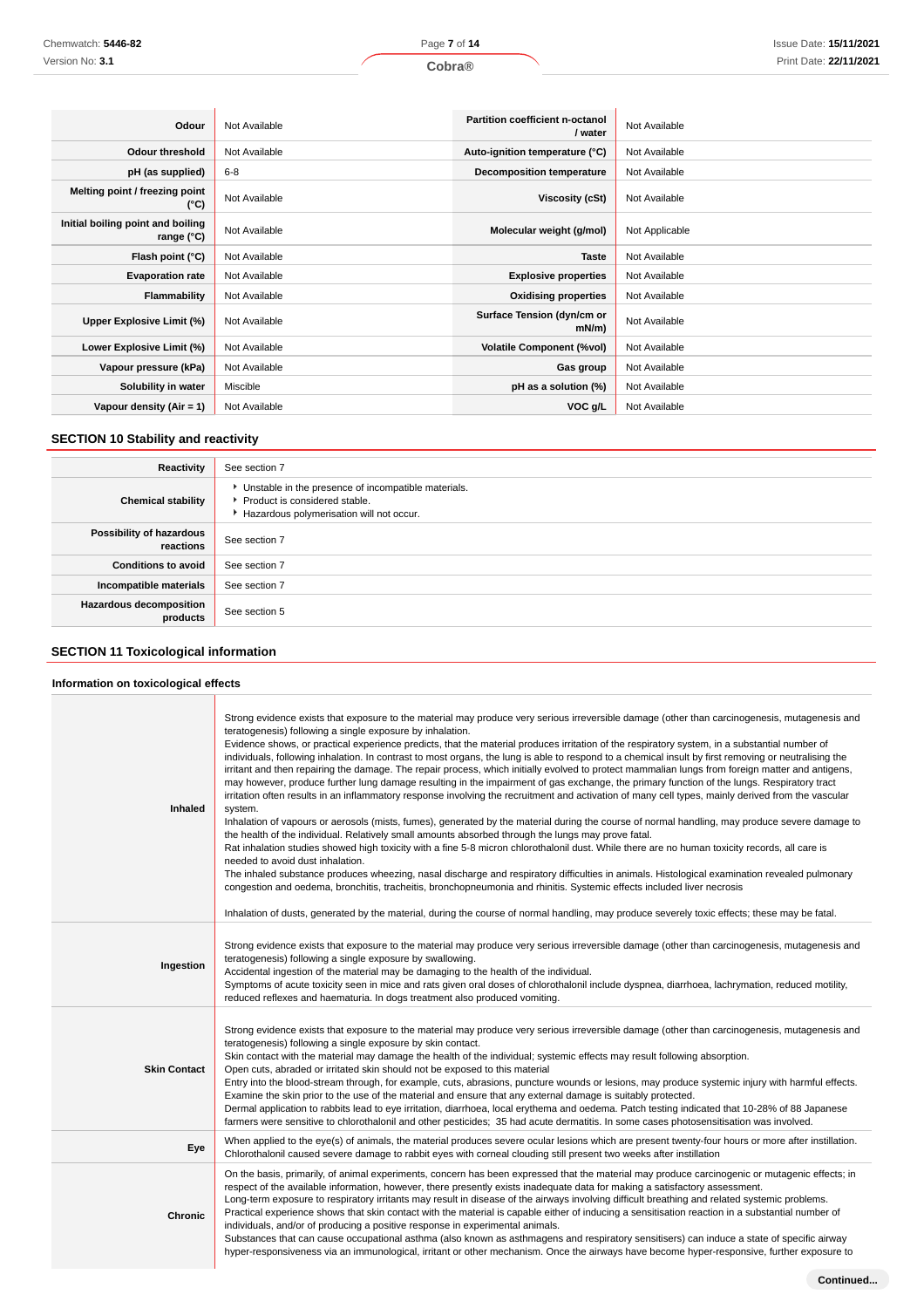| Odour                                           | Not Available | <b>Partition coefficient n-octanol</b><br>/ water | Not Available  |
|-------------------------------------------------|---------------|---------------------------------------------------|----------------|
| Odour threshold                                 | Not Available | Auto-ignition temperature (°C)                    | Not Available  |
| pH (as supplied)                                | $6 - 8$       | <b>Decomposition temperature</b>                  | Not Available  |
| Melting point / freezing point<br>(°C)          | Not Available | Viscosity (cSt)                                   | Not Available  |
| Initial boiling point and boiling<br>range (°C) | Not Available | Molecular weight (g/mol)                          | Not Applicable |
| Flash point (°C)                                | Not Available | <b>Taste</b>                                      | Not Available  |
| <b>Evaporation rate</b>                         | Not Available | <b>Explosive properties</b>                       | Not Available  |
| Flammability                                    | Not Available | <b>Oxidising properties</b>                       | Not Available  |
| Upper Explosive Limit (%)                       | Not Available | Surface Tension (dyn/cm or<br>$mN/m$ )            | Not Available  |
| Lower Explosive Limit (%)                       | Not Available | <b>Volatile Component (%vol)</b>                  | Not Available  |
| Vapour pressure (kPa)                           | Not Available | Gas group                                         | Not Available  |
| Solubility in water                             | Miscible      | pH as a solution (%)                              | Not Available  |
| Vapour density (Air = 1)                        | Not Available | VOC g/L                                           | Not Available  |

# **SECTION 10 Stability and reactivity**

| Reactivity                                 | See section 7                                                                                                                        |
|--------------------------------------------|--------------------------------------------------------------------------------------------------------------------------------------|
| <b>Chemical stability</b>                  | • Unstable in the presence of incompatible materials.<br>▶ Product is considered stable.<br>Hazardous polymerisation will not occur. |
| Possibility of hazardous<br>reactions      | See section 7                                                                                                                        |
| <b>Conditions to avoid</b>                 | See section 7                                                                                                                        |
| Incompatible materials                     | See section 7                                                                                                                        |
| <b>Hazardous decomposition</b><br>products | See section 5                                                                                                                        |

# **SECTION 11 Toxicological information**

# **Information on toxicological effects**

| Inhaled             | Strong evidence exists that exposure to the material may produce very serious irreversible damage (other than carcinogenesis, mutagenesis and<br>teratogenesis) following a single exposure by inhalation.<br>Evidence shows, or practical experience predicts, that the material produces irritation of the respiratory system, in a substantial number of<br>individuals, following inhalation. In contrast to most organs, the lung is able to respond to a chemical insult by first removing or neutralising the<br>irritant and then repairing the damage. The repair process, which initially evolved to protect mammalian lungs from foreign matter and antigens,<br>may however, produce further lung damage resulting in the impairment of gas exchange, the primary function of the lungs. Respiratory tract<br>irritation often results in an inflammatory response involving the recruitment and activation of many cell types, mainly derived from the vascular<br>system.<br>Inhalation of vapours or aerosols (mists, fumes), generated by the material during the course of normal handling, may produce severe damage to<br>the health of the individual. Relatively small amounts absorbed through the lungs may prove fatal.<br>Rat inhalation studies showed high toxicity with a fine 5-8 micron chlorothalonil dust. While there are no human toxicity records, all care is<br>needed to avoid dust inhalation.<br>The inhaled substance produces wheezing, nasal discharge and respiratory difficulties in animals. Histological examination revealed pulmonary<br>congestion and oedema, bronchitis, tracheitis, bronchopneumonia and rhinitis. Systemic effects included liver necrosis<br>Inhalation of dusts, generated by the material, during the course of normal handling, may produce severely toxic effects; these may be fatal. |
|---------------------|-------------------------------------------------------------------------------------------------------------------------------------------------------------------------------------------------------------------------------------------------------------------------------------------------------------------------------------------------------------------------------------------------------------------------------------------------------------------------------------------------------------------------------------------------------------------------------------------------------------------------------------------------------------------------------------------------------------------------------------------------------------------------------------------------------------------------------------------------------------------------------------------------------------------------------------------------------------------------------------------------------------------------------------------------------------------------------------------------------------------------------------------------------------------------------------------------------------------------------------------------------------------------------------------------------------------------------------------------------------------------------------------------------------------------------------------------------------------------------------------------------------------------------------------------------------------------------------------------------------------------------------------------------------------------------------------------------------------------------------------------------------------------------------------------------------------------------------------------------------------|
| Ingestion           | Strong evidence exists that exposure to the material may produce very serious irreversible damage (other than carcinogenesis, mutagenesis and<br>teratogenesis) following a single exposure by swallowing.<br>Accidental ingestion of the material may be damaging to the health of the individual.<br>Symptoms of acute toxicity seen in mice and rats given oral doses of chlorothalonil include dyspnea, diarrhoea, lachrymation, reduced motility,<br>reduced reflexes and haematuria. In dogs treatment also produced vomiting.                                                                                                                                                                                                                                                                                                                                                                                                                                                                                                                                                                                                                                                                                                                                                                                                                                                                                                                                                                                                                                                                                                                                                                                                                                                                                                                              |
| <b>Skin Contact</b> | Strong evidence exists that exposure to the material may produce very serious irreversible damage (other than carcinogenesis, mutagenesis and<br>teratogenesis) following a single exposure by skin contact.<br>Skin contact with the material may damage the health of the individual; systemic effects may result following absorption.<br>Open cuts, abraded or irritated skin should not be exposed to this material<br>Entry into the blood-stream through, for example, cuts, abrasions, puncture wounds or lesions, may produce systemic injury with harmful effects.<br>Examine the skin prior to the use of the material and ensure that any external damage is suitably protected.<br>Dermal application to rabbits lead to eye irritation, diarrhoea, local erythema and oedema. Patch testing indicated that 10-28% of 88 Japanese<br>farmers were sensitive to chlorothalonil and other pesticides; 35 had acute dermatitis. In some cases photosensitisation was involved.                                                                                                                                                                                                                                                                                                                                                                                                                                                                                                                                                                                                                                                                                                                                                                                                                                                                          |
| Eye                 | When applied to the eye(s) of animals, the material produces severe ocular lesions which are present twenty-four hours or more after instillation.<br>Chlorothalonil caused severe damage to rabbit eyes with corneal clouding still present two weeks after instillation                                                                                                                                                                                                                                                                                                                                                                                                                                                                                                                                                                                                                                                                                                                                                                                                                                                                                                                                                                                                                                                                                                                                                                                                                                                                                                                                                                                                                                                                                                                                                                                         |
| <b>Chronic</b>      | On the basis, primarily, of animal experiments, concern has been expressed that the material may produce carcinogenic or mutagenic effects; in<br>respect of the available information, however, there presently exists inadequate data for making a satisfactory assessment.<br>Long-term exposure to respiratory irritants may result in disease of the airways involving difficult breathing and related systemic problems.<br>Practical experience shows that skin contact with the material is capable either of inducing a sensitisation reaction in a substantial number of<br>individuals, and/or of producing a positive response in experimental animals.<br>Substances that can cause occupational asthma (also known as asthmagens and respiratory sensitisers) can induce a state of specific airway<br>hyper-responsiveness via an immunological, irritant or other mechanism. Once the airways have become hyper-responsive, further exposure to                                                                                                                                                                                                                                                                                                                                                                                                                                                                                                                                                                                                                                                                                                                                                                                                                                                                                                   |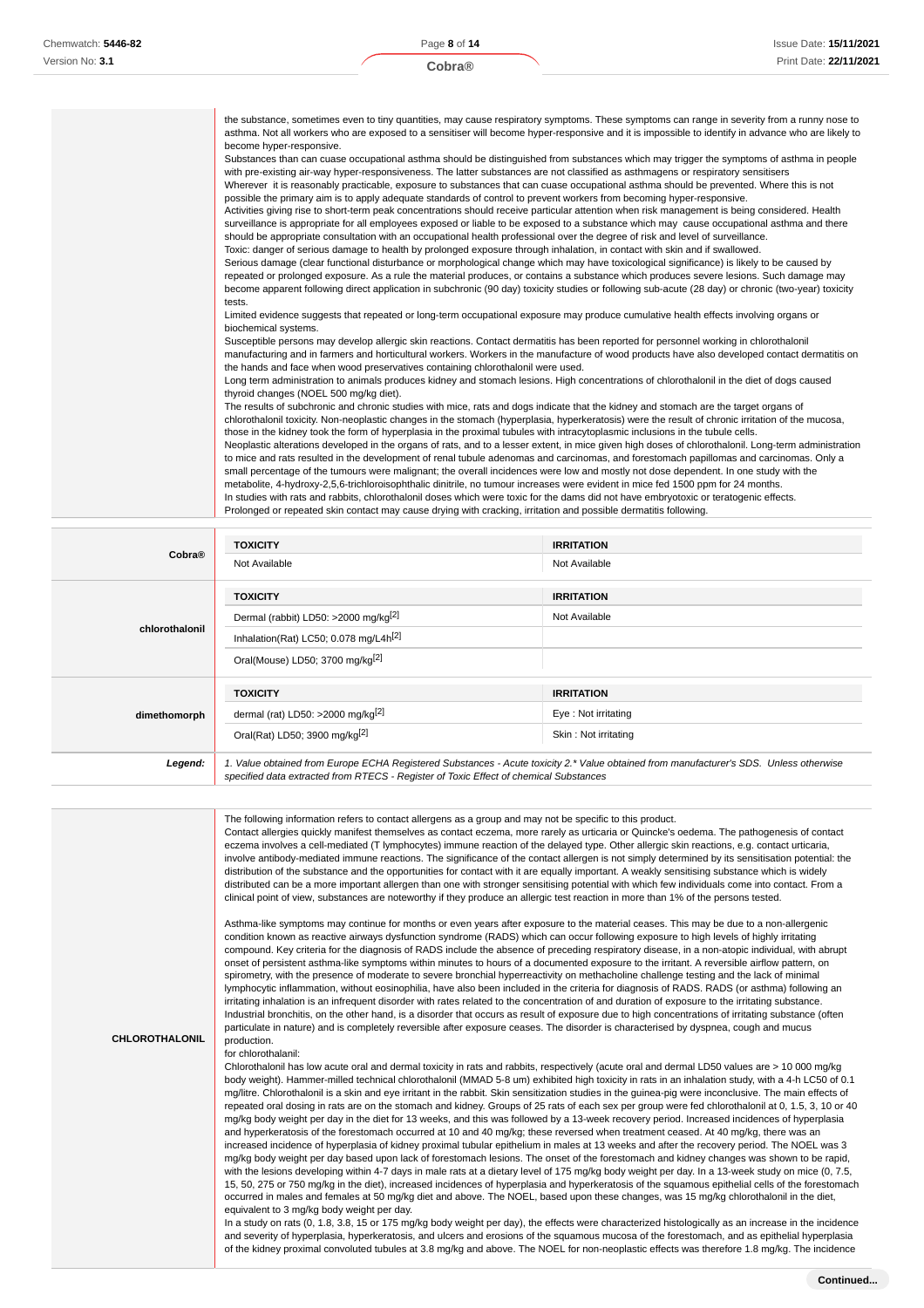|                | the substance, sometimes even to tiny quantities, may cause respiratory symptoms. These symptoms can range in severity from a runny nose to<br>asthma. Not all workers who are exposed to a sensitiser will become hyper-responsive and it is impossible to identify in advance who are likely to<br>become hyper-responsive.<br>Substances than can cuase occupational asthma should be distinguished from substances which may trigger the symptoms of asthma in people<br>with pre-existing air-way hyper-responsiveness. The latter substances are not classified as asthmagens or respiratory sensitisers<br>Wherever it is reasonably practicable, exposure to substances that can cuase occupational asthma should be prevented. Where this is not<br>possible the primary aim is to apply adequate standards of control to prevent workers from becoming hyper-responsive.<br>Activities giving rise to short-term peak concentrations should receive particular attention when risk management is being considered. Health<br>surveillance is appropriate for all employees exposed or liable to be exposed to a substance which may cause occupational asthma and there<br>should be appropriate consultation with an occupational health professional over the degree of risk and level of surveillance.<br>Toxic: danger of serious damage to health by prolonged exposure through inhalation, in contact with skin and if swallowed.<br>Serious damage (clear functional disturbance or morphological change which may have toxicological significance) is likely to be caused by<br>repeated or prolonged exposure. As a rule the material produces, or contains a substance which produces severe lesions. Such damage may<br>become apparent following direct application in subchronic (90 day) toxicity studies or following sub-acute (28 day) or chronic (two-year) toxicity<br>tests.<br>Limited evidence suggests that repeated or long-term occupational exposure may produce cumulative health effects involving organs or<br>biochemical systems.<br>Susceptible persons may develop allergic skin reactions. Contact dermatitis has been reported for personnel working in chlorothalonil<br>manufacturing and in farmers and horticultural workers. Workers in the manufacture of wood products have also developed contact dermatitis on<br>the hands and face when wood preservatives containing chlorothalonil were used.<br>Long term administration to animals produces kidney and stomach lesions. High concentrations of chlorothalonil in the diet of dogs caused<br>thyroid changes (NOEL 500 mg/kg diet).<br>The results of subchronic and chronic studies with mice, rats and dogs indicate that the kidney and stomach are the target organs of<br>chlorothalonil toxicity. Non-neoplastic changes in the stomach (hyperplasia, hyperkeratosis) were the result of chronic irritation of the mucosa,<br>those in the kidney took the form of hyperplasia in the proximal tubules with intracytoplasmic inclusions in the tubule cells.<br>Neoplastic alterations developed in the organs of rats, and to a lesser extent, in mice given high doses of chlorothalonil. Long-term administration<br>to mice and rats resulted in the development of renal tubule adenomas and carcinomas, and forestomach papillomas and carcinomas. Only a<br>small percentage of the tumours were malignant; the overall incidences were low and mostly not dose dependent. In one study with the<br>metabolite, 4-hydroxy-2,5,6-trichloroisophthalic dinitrile, no tumour increases were evident in mice fed 1500 ppm for 24 months. |                   |  |
|----------------|--------------------------------------------------------------------------------------------------------------------------------------------------------------------------------------------------------------------------------------------------------------------------------------------------------------------------------------------------------------------------------------------------------------------------------------------------------------------------------------------------------------------------------------------------------------------------------------------------------------------------------------------------------------------------------------------------------------------------------------------------------------------------------------------------------------------------------------------------------------------------------------------------------------------------------------------------------------------------------------------------------------------------------------------------------------------------------------------------------------------------------------------------------------------------------------------------------------------------------------------------------------------------------------------------------------------------------------------------------------------------------------------------------------------------------------------------------------------------------------------------------------------------------------------------------------------------------------------------------------------------------------------------------------------------------------------------------------------------------------------------------------------------------------------------------------------------------------------------------------------------------------------------------------------------------------------------------------------------------------------------------------------------------------------------------------------------------------------------------------------------------------------------------------------------------------------------------------------------------------------------------------------------------------------------------------------------------------------------------------------------------------------------------------------------------------------------------------------------------------------------------------------------------------------------------------------------------------------------------------------------------------------------------------------------------------------------------------------------------------------------------------------------------------------------------------------------------------------------------------------------------------------------------------------------------------------------------------------------------------------------------------------------------------------------------------------------------------------------------------------------------------------------------------------------------------------------------------------------------------------------------------------------------------------------------------------------------------------------------------------------------------------------------------------------------------------------------------------------------------------------------------------------------------------------------------------------------------------------------------------------------------------------------------|-------------------|--|
|                | In studies with rats and rabbits, chlorothalonil doses which were toxic for the dams did not have embryotoxic or teratogenic effects.<br>Prolonged or repeated skin contact may cause drying with cracking, irritation and possible dermatitis following.                                                                                                                                                                                                                                                                                                                                                                                                                                                                                                                                                                                                                                                                                                                                                                                                                                                                                                                                                                                                                                                                                                                                                                                                                                                                                                                                                                                                                                                                                                                                                                                                                                                                                                                                                                                                                                                                                                                                                                                                                                                                                                                                                                                                                                                                                                                                                                                                                                                                                                                                                                                                                                                                                                                                                                                                                                                                                                                                                                                                                                                                                                                                                                                                                                                                                                                                                                                                    |                   |  |
|                |                                                                                                                                                                                                                                                                                                                                                                                                                                                                                                                                                                                                                                                                                                                                                                                                                                                                                                                                                                                                                                                                                                                                                                                                                                                                                                                                                                                                                                                                                                                                                                                                                                                                                                                                                                                                                                                                                                                                                                                                                                                                                                                                                                                                                                                                                                                                                                                                                                                                                                                                                                                                                                                                                                                                                                                                                                                                                                                                                                                                                                                                                                                                                                                                                                                                                                                                                                                                                                                                                                                                                                                                                                                              |                   |  |
|                | <b>TOXICITY</b>                                                                                                                                                                                                                                                                                                                                                                                                                                                                                                                                                                                                                                                                                                                                                                                                                                                                                                                                                                                                                                                                                                                                                                                                                                                                                                                                                                                                                                                                                                                                                                                                                                                                                                                                                                                                                                                                                                                                                                                                                                                                                                                                                                                                                                                                                                                                                                                                                                                                                                                                                                                                                                                                                                                                                                                                                                                                                                                                                                                                                                                                                                                                                                                                                                                                                                                                                                                                                                                                                                                                                                                                                                              | <b>IRRITATION</b> |  |
| Cobra®         | Not Available                                                                                                                                                                                                                                                                                                                                                                                                                                                                                                                                                                                                                                                                                                                                                                                                                                                                                                                                                                                                                                                                                                                                                                                                                                                                                                                                                                                                                                                                                                                                                                                                                                                                                                                                                                                                                                                                                                                                                                                                                                                                                                                                                                                                                                                                                                                                                                                                                                                                                                                                                                                                                                                                                                                                                                                                                                                                                                                                                                                                                                                                                                                                                                                                                                                                                                                                                                                                                                                                                                                                                                                                                                                | Not Available     |  |
|                |                                                                                                                                                                                                                                                                                                                                                                                                                                                                                                                                                                                                                                                                                                                                                                                                                                                                                                                                                                                                                                                                                                                                                                                                                                                                                                                                                                                                                                                                                                                                                                                                                                                                                                                                                                                                                                                                                                                                                                                                                                                                                                                                                                                                                                                                                                                                                                                                                                                                                                                                                                                                                                                                                                                                                                                                                                                                                                                                                                                                                                                                                                                                                                                                                                                                                                                                                                                                                                                                                                                                                                                                                                                              |                   |  |
|                | TOXICITY                                                                                                                                                                                                                                                                                                                                                                                                                                                                                                                                                                                                                                                                                                                                                                                                                                                                                                                                                                                                                                                                                                                                                                                                                                                                                                                                                                                                                                                                                                                                                                                                                                                                                                                                                                                                                                                                                                                                                                                                                                                                                                                                                                                                                                                                                                                                                                                                                                                                                                                                                                                                                                                                                                                                                                                                                                                                                                                                                                                                                                                                                                                                                                                                                                                                                                                                                                                                                                                                                                                                                                                                                                                     | <b>IRRITATION</b> |  |
|                | Dermal (rabbit) LD50: >2000 mg/kg <sup>[2]</sup>                                                                                                                                                                                                                                                                                                                                                                                                                                                                                                                                                                                                                                                                                                                                                                                                                                                                                                                                                                                                                                                                                                                                                                                                                                                                                                                                                                                                                                                                                                                                                                                                                                                                                                                                                                                                                                                                                                                                                                                                                                                                                                                                                                                                                                                                                                                                                                                                                                                                                                                                                                                                                                                                                                                                                                                                                                                                                                                                                                                                                                                                                                                                                                                                                                                                                                                                                                                                                                                                                                                                                                                                             | Not Available     |  |
| chlorothalonil | Inhalation(Rat) LC50; 0.078 mg/L4h <sup>[2]</sup>                                                                                                                                                                                                                                                                                                                                                                                                                                                                                                                                                                                                                                                                                                                                                                                                                                                                                                                                                                                                                                                                                                                                                                                                                                                                                                                                                                                                                                                                                                                                                                                                                                                                                                                                                                                                                                                                                                                                                                                                                                                                                                                                                                                                                                                                                                                                                                                                                                                                                                                                                                                                                                                                                                                                                                                                                                                                                                                                                                                                                                                                                                                                                                                                                                                                                                                                                                                                                                                                                                                                                                                                            |                   |  |
|                | Oral(Mouse) LD50; 3700 mg/kg <sup>[2]</sup>                                                                                                                                                                                                                                                                                                                                                                                                                                                                                                                                                                                                                                                                                                                                                                                                                                                                                                                                                                                                                                                                                                                                                                                                                                                                                                                                                                                                                                                                                                                                                                                                                                                                                                                                                                                                                                                                                                                                                                                                                                                                                                                                                                                                                                                                                                                                                                                                                                                                                                                                                                                                                                                                                                                                                                                                                                                                                                                                                                                                                                                                                                                                                                                                                                                                                                                                                                                                                                                                                                                                                                                                                  |                   |  |
|                | <b>TOXICITY</b>                                                                                                                                                                                                                                                                                                                                                                                                                                                                                                                                                                                                                                                                                                                                                                                                                                                                                                                                                                                                                                                                                                                                                                                                                                                                                                                                                                                                                                                                                                                                                                                                                                                                                                                                                                                                                                                                                                                                                                                                                                                                                                                                                                                                                                                                                                                                                                                                                                                                                                                                                                                                                                                                                                                                                                                                                                                                                                                                                                                                                                                                                                                                                                                                                                                                                                                                                                                                                                                                                                                                                                                                                                              | <b>IRRITATION</b> |  |
|                |                                                                                                                                                                                                                                                                                                                                                                                                                                                                                                                                                                                                                                                                                                                                                                                                                                                                                                                                                                                                                                                                                                                                                                                                                                                                                                                                                                                                                                                                                                                                                                                                                                                                                                                                                                                                                                                                                                                                                                                                                                                                                                                                                                                                                                                                                                                                                                                                                                                                                                                                                                                                                                                                                                                                                                                                                                                                                                                                                                                                                                                                                                                                                                                                                                                                                                                                                                                                                                                                                                                                                                                                                                                              |                   |  |

|              | <b>TOXICITY</b>                               | <b>IRRITATION</b>    |
|--------------|-----------------------------------------------|----------------------|
| dimethomorph | dermal (rat) LD50: >2000 mg/kg <sup>[2]</sup> | Eye: Not irritating  |
|              | Oral(Rat) LD50; 3900 mg/kg <sup>[2]</sup>     | Skin: Not irritating |

**Legend:** 1. Value obtained from Europe ECHA Registered Substances - Acute toxicity 2.\* Value obtained from manufacturer's SDS. Unless otherwise specified data extracted from RTECS - Register of Toxic Effect of chemical Substances

The following information refers to contact allergens as a group and may not be specific to this product.

Contact allergies quickly manifest themselves as contact eczema, more rarely as urticaria or Quincke's oedema. The pathogenesis of contact eczema involves a cell-mediated (T lymphocytes) immune reaction of the delayed type. Other allergic skin reactions, e.g. contact urticaria, involve antibody-mediated immune reactions. The significance of the contact allergen is not simply determined by its sensitisation potential: the distribution of the substance and the opportunities for contact with it are equally important. A weakly sensitising substance which is widely distributed can be a more important allergen than one with stronger sensitising potential with which few individuals come into contact. From a clinical point of view, substances are noteworthy if they produce an allergic test reaction in more than 1% of the persons tested.

Asthma-like symptoms may continue for months or even years after exposure to the material ceases. This may be due to a non-allergenic condition known as reactive airways dysfunction syndrome (RADS) which can occur following exposure to high levels of highly irritating compound. Key criteria for the diagnosis of RADS include the absence of preceding respiratory disease, in a non-atopic individual, with abrupt onset of persistent asthma-like symptoms within minutes to hours of a documented exposure to the irritant. A reversible airflow pattern, on spirometry, with the presence of moderate to severe bronchial hyperreactivity on methacholine challenge testing and the lack of minimal lymphocytic inflammation, without eosinophilia, have also been included in the criteria for diagnosis of RADS. RADS (or asthma) following an irritating inhalation is an infrequent disorder with rates related to the concentration of and duration of exposure to the irritating substance. Industrial bronchitis, on the other hand, is a disorder that occurs as result of exposure due to high concentrations of irritating substance (often particulate in nature) and is completely reversible after exposure ceases. The disorder is characterised by dyspnea, cough and mucus production.

**CHLOROTHALONIL**

for chlorothalanil:

Chlorothalonil has low acute oral and dermal toxicity in rats and rabbits, respectively (acute oral and dermal LD50 values are > 10 000 mg/kg body weight). Hammer-milled technical chlorothalonil (MMAD 5-8 um) exhibited high toxicity in rats in an inhalation study, with a 4-h LC50 of 0.1 mg/litre. Chlorothalonil is a skin and eye irritant in the rabbit. Skin sensitization studies in the guinea-pig were inconclusive. The main effects of repeated oral dosing in rats are on the stomach and kidney. Groups of 25 rats of each sex per group were fed chlorothalonil at 0, 1.5, 3, 10 or 40 mg/kg body weight per day in the diet for 13 weeks, and this was followed by a 13-week recovery period. Increased incidences of hyperplasia and hyperkeratosis of the forestomach occurred at 10 and 40 mg/kg; these reversed when treatment ceased. At 40 mg/kg, there was an increased incidence of hyperplasia of kidney proximal tubular epithelium in males at 13 weeks and after the recovery period. The NOEL was 3 mg/kg body weight per day based upon lack of forestomach lesions. The onset of the forestomach and kidney changes was shown to be rapid, with the lesions developing within 4-7 days in male rats at a dietary level of 175 mg/kg body weight per day. In a 13-week study on mice (0, 7.5, 15, 50, 275 or 750 mg/kg in the diet), increased incidences of hyperplasia and hyperkeratosis of the squamous epithelial cells of the forestomach occurred in males and females at 50 mg/kg diet and above. The NOEL, based upon these changes, was 15 mg/kg chlorothalonil in the diet, equivalent to 3 mg/kg body weight per day.

In a study on rats (0, 1.8, 3.8, 15 or 175 mg/kg body weight per day), the effects were characterized histologically as an increase in the incidence and severity of hyperplasia, hyperkeratosis, and ulcers and erosions of the squamous mucosa of the forestomach, and as epithelial hyperplasia of the kidney proximal convoluted tubules at 3.8 mg/kg and above. The NOEL for non-neoplastic effects was therefore 1.8 mg/kg. The incidence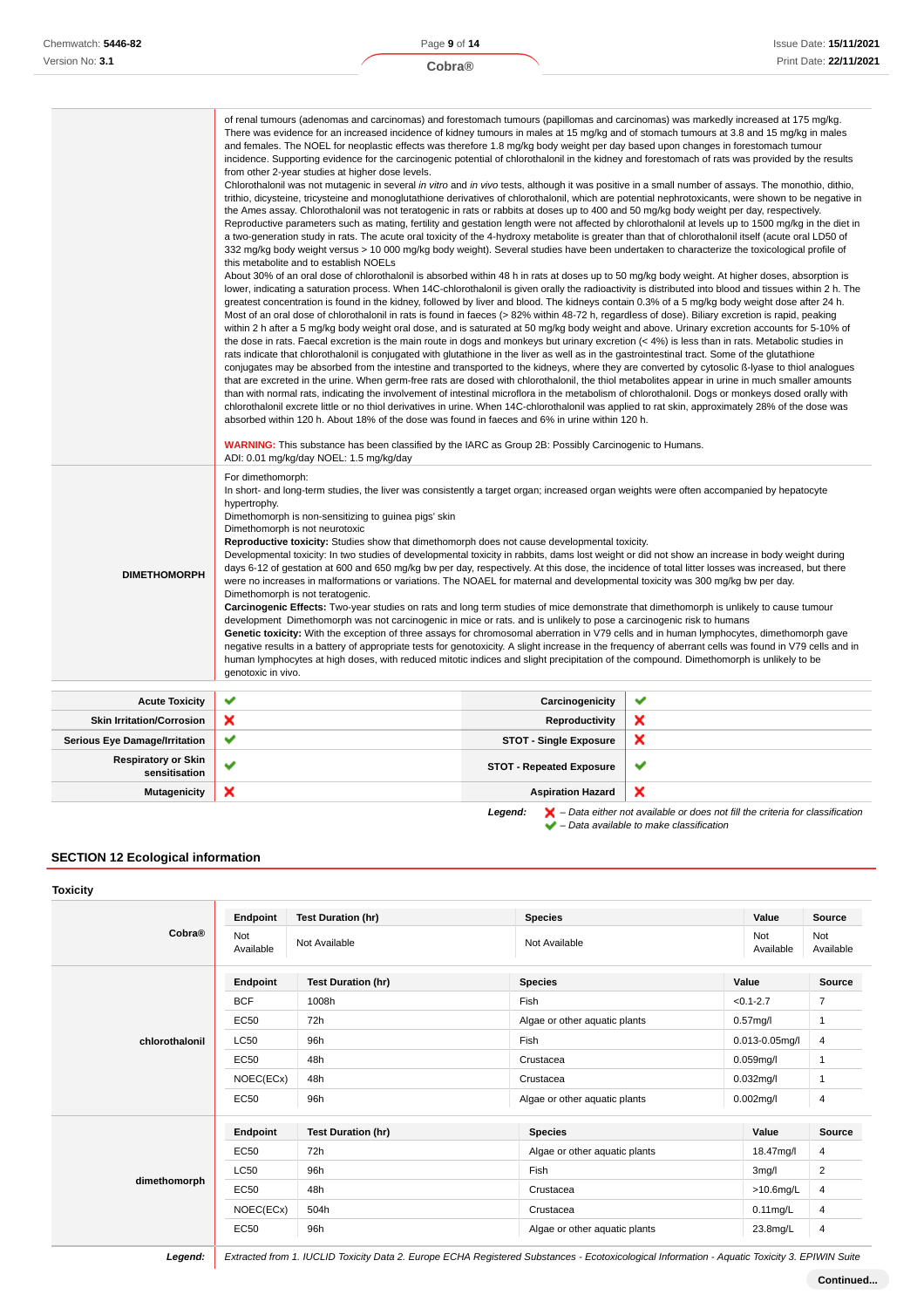|                                             | of renal tumours (adenomas and carcinomas) and forestomach tumours (papillomas and carcinomas) was markedly increased at 175 mg/kg.<br>There was evidence for an increased incidence of kidney tumours in males at 15 mg/kg and of stomach tumours at 3.8 and 15 mg/kg in males<br>and females. The NOEL for neoplastic effects was therefore 1.8 mg/kg body weight per day based upon changes in forestomach tumour<br>incidence. Supporting evidence for the carcinogenic potential of chlorothalonil in the kidney and forestomach of rats was provided by the results<br>from other 2-year studies at higher dose levels.<br>Chlorothalonil was not mutagenic in several in vitro and in vivo tests, although it was positive in a small number of assays. The monothio, dithio,<br>trithio, dicysteine, tricysteine and monoglutathione derivatives of chlorothalonil, which are potential nephrotoxicants, were shown to be negative in<br>the Ames assay. Chlorothalonil was not teratogenic in rats or rabbits at doses up to 400 and 50 mg/kg body weight per day, respectively.<br>Reproductive parameters such as mating, fertility and gestation length were not affected by chlorothalonil at levels up to 1500 mg/kg in the diet in<br>a two-generation study in rats. The acute oral toxicity of the 4-hydroxy metabolite is greater than that of chlorothalonil itself (acute oral LD50 of<br>332 mg/kg body weight versus > 10 000 mg/kg body weight). Several studies have been undertaken to characterize the toxicological profile of<br>this metabolite and to establish NOELs<br>About 30% of an oral dose of chlorothalonil is absorbed within 48 h in rats at doses up to 50 mg/kg body weight. At higher doses, absorption is<br>lower, indicating a saturation process. When 14C-chlorothalonil is given orally the radioactivity is distributed into blood and tissues within 2 h. The<br>greatest concentration is found in the kidney, followed by liver and blood. The kidneys contain 0.3% of a 5 mg/kg body weight dose after 24 h.<br>Most of an oral dose of chlorothalonil in rats is found in faeces (> 82% within 48-72 h, regardless of dose). Biliary excretion is rapid, peaking<br>within 2 h after a 5 mg/kg body weight oral dose, and is saturated at 50 mg/kg body weight and above. Urinary excretion accounts for 5-10% of<br>the dose in rats. Faecal excretion is the main route in dogs and monkeys but urinary excretion $($ 4%) is less than in rats. Metabolic studies in<br>rats indicate that chlorothalonil is conjugated with glutathione in the liver as well as in the gastrointestinal tract. Some of the glutathione<br>conjugates may be absorbed from the intestine and transported to the kidneys, where they are converted by cytosolic B-lyase to thiol analogues<br>that are excreted in the urine. When germ-free rats are dosed with chlorothalonil, the thiol metabolites appear in urine in much smaller amounts<br>than with normal rats, indicating the involvement of intestinal microflora in the metabolism of chlorothalonil. Dogs or monkeys dosed orally with<br>chlorothalonil excrete little or no thiol derivatives in urine. When 14C-chlorothalonil was applied to rat skin, approximately 28% of the dose was<br>absorbed within 120 h. About 18% of the dose was found in faeces and 6% in urine within 120 h.<br><b>WARNING:</b> This substance has been classified by the IARC as Group 2B: Possibly Carcinogenic to Humans. |                                 |   |
|---------------------------------------------|----------------------------------------------------------------------------------------------------------------------------------------------------------------------------------------------------------------------------------------------------------------------------------------------------------------------------------------------------------------------------------------------------------------------------------------------------------------------------------------------------------------------------------------------------------------------------------------------------------------------------------------------------------------------------------------------------------------------------------------------------------------------------------------------------------------------------------------------------------------------------------------------------------------------------------------------------------------------------------------------------------------------------------------------------------------------------------------------------------------------------------------------------------------------------------------------------------------------------------------------------------------------------------------------------------------------------------------------------------------------------------------------------------------------------------------------------------------------------------------------------------------------------------------------------------------------------------------------------------------------------------------------------------------------------------------------------------------------------------------------------------------------------------------------------------------------------------------------------------------------------------------------------------------------------------------------------------------------------------------------------------------------------------------------------------------------------------------------------------------------------------------------------------------------------------------------------------------------------------------------------------------------------------------------------------------------------------------------------------------------------------------------------------------------------------------------------------------------------------------------------------------------------------------------------------------------------------------------------------------------------------------------------------------------------------------------------------------------------------------------------------------------------------------------------------------------------------------------------------------------------------------------------------------------------------------------------------------------------------------------------------------------------------------------------------------------------------------------------------------------------------------------------------------------------------------------------------------------------------------------------------------------------------------------------------------------------------------------------------------------------------------------------------------------------------------------------------------------------------------------------------------------|---------------------------------|---|
|                                             | ADI: 0.01 mg/kg/day NOEL: 1.5 mg/kg/day<br>For dimethomorph:                                                                                                                                                                                                                                                                                                                                                                                                                                                                                                                                                                                                                                                                                                                                                                                                                                                                                                                                                                                                                                                                                                                                                                                                                                                                                                                                                                                                                                                                                                                                                                                                                                                                                                                                                                                                                                                                                                                                                                                                                                                                                                                                                                                                                                                                                                                                                                                                                                                                                                                                                                                                                                                                                                                                                                                                                                                                                                                                                                                                                                                                                                                                                                                                                                                                                                                                                                                                                                                         |                                 |   |
| <b>DIMETHOMORPH</b>                         | In short- and long-term studies, the liver was consistently a target organ; increased organ weights were often accompanied by hepatocyte<br>hypertrophy.<br>Dimethomorph is non-sensitizing to guinea pigs' skin<br>Dimethomorph is not neurotoxic<br>Reproductive toxicity: Studies show that dimethomorph does not cause developmental toxicity.<br>Developmental toxicity: In two studies of developmental toxicity in rabbits, dams lost weight or did not show an increase in body weight during<br>days 6-12 of gestation at 600 and 650 mg/kg bw per day, respectively. At this dose, the incidence of total litter losses was increased, but there<br>were no increases in malformations or variations. The NOAEL for maternal and developmental toxicity was 300 mg/kg bw per day.<br>Dimethomorph is not teratogenic.<br>Carcinogenic Effects: Two-year studies on rats and long term studies of mice demonstrate that dimethomorph is unlikely to cause tumour<br>development Dimethomorph was not carcinogenic in mice or rats, and is unlikely to pose a carcinogenic risk to humans<br>Genetic toxicity: With the exception of three assays for chromosomal aberration in V79 cells and in human lymphocytes, dimethomorph gave<br>negative results in a battery of appropriate tests for genotoxicity. A slight increase in the frequency of aberrant cells was found in V79 cells and in<br>human lymphocytes at high doses, with reduced mitotic indices and slight precipitation of the compound. Dimethomorph is unlikely to be<br>genotoxic in vivo.                                                                                                                                                                                                                                                                                                                                                                                                                                                                                                                                                                                                                                                                                                                                                                                                                                                                                                                                                                                                                                                                                                                                                                                                                                                                                                                                                                                                                                                                                                                                                                                                                                                                                                                                                                                                                                                                                                                                             |                                 |   |
| <b>Acute Toxicity</b>                       | ✔                                                                                                                                                                                                                                                                                                                                                                                                                                                                                                                                                                                                                                                                                                                                                                                                                                                                                                                                                                                                                                                                                                                                                                                                                                                                                                                                                                                                                                                                                                                                                                                                                                                                                                                                                                                                                                                                                                                                                                                                                                                                                                                                                                                                                                                                                                                                                                                                                                                                                                                                                                                                                                                                                                                                                                                                                                                                                                                                                                                                                                                                                                                                                                                                                                                                                                                                                                                                                                                                                                                    | Carcinogenicity                 | ✔ |
| <b>Skin Irritation/Corrosion</b>            | ×                                                                                                                                                                                                                                                                                                                                                                                                                                                                                                                                                                                                                                                                                                                                                                                                                                                                                                                                                                                                                                                                                                                                                                                                                                                                                                                                                                                                                                                                                                                                                                                                                                                                                                                                                                                                                                                                                                                                                                                                                                                                                                                                                                                                                                                                                                                                                                                                                                                                                                                                                                                                                                                                                                                                                                                                                                                                                                                                                                                                                                                                                                                                                                                                                                                                                                                                                                                                                                                                                                                    | <b>Reproductivity</b>           | × |
| <b>Serious Eye Damage/Irritation</b>        | ✔                                                                                                                                                                                                                                                                                                                                                                                                                                                                                                                                                                                                                                                                                                                                                                                                                                                                                                                                                                                                                                                                                                                                                                                                                                                                                                                                                                                                                                                                                                                                                                                                                                                                                                                                                                                                                                                                                                                                                                                                                                                                                                                                                                                                                                                                                                                                                                                                                                                                                                                                                                                                                                                                                                                                                                                                                                                                                                                                                                                                                                                                                                                                                                                                                                                                                                                                                                                                                                                                                                                    | <b>STOT - Single Exposure</b>   | × |
| <b>Respiratory or Skin</b><br>sensitisation | ✔                                                                                                                                                                                                                                                                                                                                                                                                                                                                                                                                                                                                                                                                                                                                                                                                                                                                                                                                                                                                                                                                                                                                                                                                                                                                                                                                                                                                                                                                                                                                                                                                                                                                                                                                                                                                                                                                                                                                                                                                                                                                                                                                                                                                                                                                                                                                                                                                                                                                                                                                                                                                                                                                                                                                                                                                                                                                                                                                                                                                                                                                                                                                                                                                                                                                                                                                                                                                                                                                                                                    | <b>STOT - Repeated Exposure</b> | ✔ |
| <b>Mutagenicity</b>                         | ×                                                                                                                                                                                                                                                                                                                                                                                                                                                                                                                                                                                                                                                                                                                                                                                                                                                                                                                                                                                                                                                                                                                                                                                                                                                                                                                                                                                                                                                                                                                                                                                                                                                                                                                                                                                                                                                                                                                                                                                                                                                                                                                                                                                                                                                                                                                                                                                                                                                                                                                                                                                                                                                                                                                                                                                                                                                                                                                                                                                                                                                                                                                                                                                                                                                                                                                                                                                                                                                                                                                    | <b>Aspiration Hazard</b>        | × |

**Legend:**  $\mathbf{X}$  – Data either not available or does not fill the criteria for classification – Data available to make classification

# **SECTION 12 Ecological information**

**Toxicity**

| Cobra®         | Endpoint         | <b>Test Duration (hr)</b> | <b>Species</b>                | Value               | Source           |
|----------------|------------------|---------------------------|-------------------------------|---------------------|------------------|
|                | Not<br>Available | Not Available             | Not Available                 | Not<br>Available    | Not<br>Available |
|                | Endpoint         | <b>Test Duration (hr)</b> | <b>Species</b>                | Value               | Source           |
|                | <b>BCF</b>       | 1008h                     | Fish                          | $< 0.1 - 2.7$       | $\overline{7}$   |
|                | <b>EC50</b>      | 72h                       | Algae or other aquatic plants | $0.57$ mg/l         | $\mathbf{1}$     |
| chlorothalonil | <b>LC50</b>      | 96h                       | Fish                          | $0.013 - 0.05$ mg/l | 4                |
|                | <b>EC50</b>      | 48h                       | Crustacea                     | $0.059$ mg/l        | 1                |
|                | NOEC(ECx)        | 48h                       | Crustacea                     | $0.032$ mg/l        | $\mathbf{1}$     |
|                | <b>EC50</b>      | 96h                       | Algae or other aquatic plants | $0.002$ mg/l        | 4                |
|                | Endpoint         | <b>Test Duration (hr)</b> | <b>Species</b>                | Value               | Source           |
|                | <b>EC50</b>      | 72h                       | Algae or other aquatic plants | 18.47mg/l           |                  |
| dimethomorph   | <b>LC50</b>      | 96h                       | Fish                          | 3mg/l               | $\overline{2}$   |
|                | <b>EC50</b>      | 48h                       | Crustacea                     | $>10.6$ mg/L        | 4                |
|                | NOEC(ECx)        | 504h                      | Crustacea                     | $0.11$ mg/L         | 4                |
|                | <b>EC50</b>      | 96h                       | Algae or other aquatic plants | 23.8mg/L            | 4                |

**Legend:** Extracted from 1. IUCLID Toxicity Data 2. Europe ECHA Registered Substances - Ecotoxicological Information - Aquatic Toxicity 3. EPIWIN Suite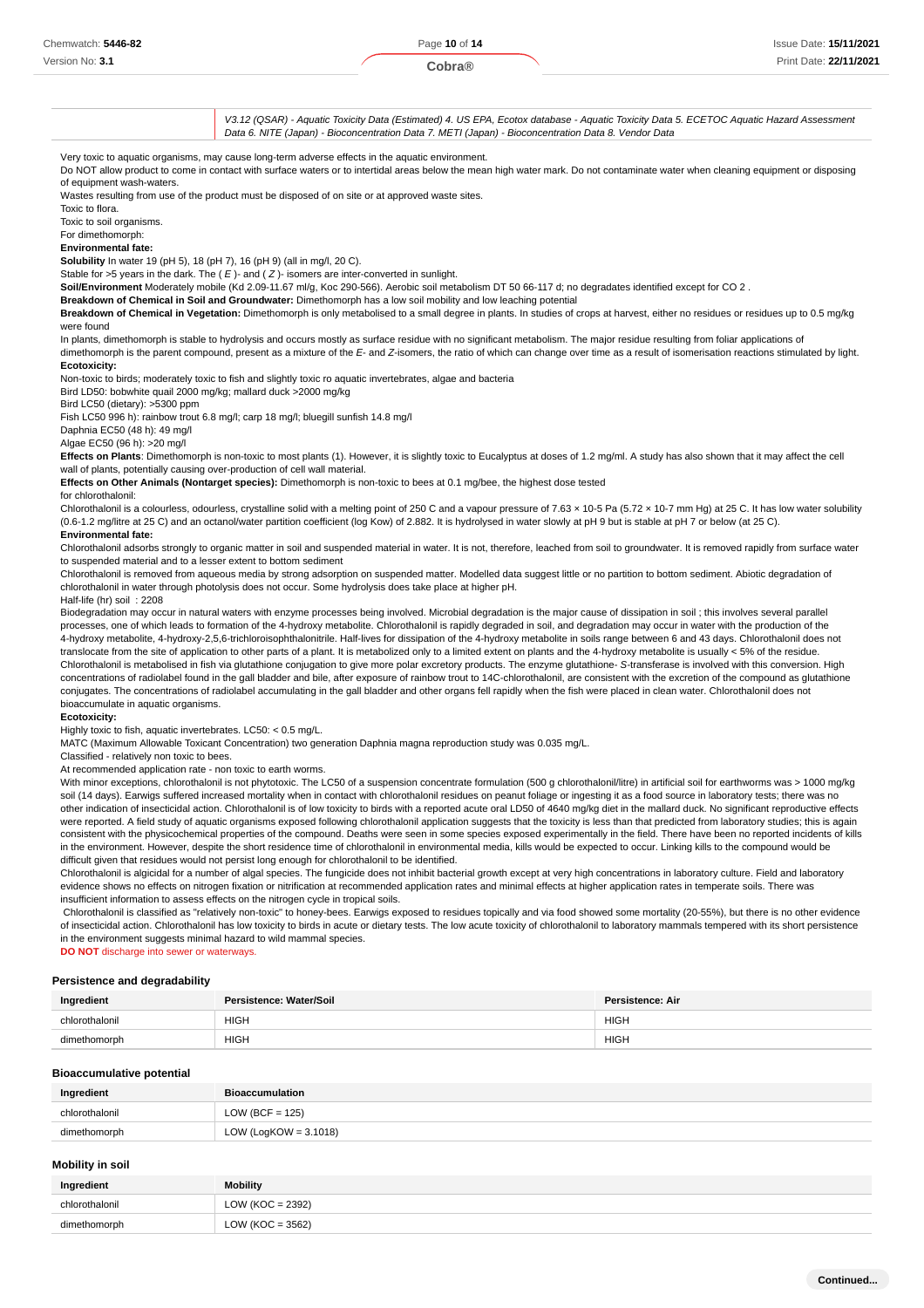Version No: **3.1**

V3.12 (QSAR) - Aquatic Toxicity Data (Estimated) 4. US EPA, Ecotox database - Aquatic Toxicity Data 5. ECETOC Aquatic Hazard Assessment Data 6. NITE (Japan) - Bioconcentration Data 7. METI (Japan) - Bioconcentration Data 8. Vendor Data

Very toxic to aquatic organisms, may cause long-term adverse effects in the aquatic environment.

Do NOT allow product to come in contact with surface waters or to intertidal areas below the mean high water mark. Do not contaminate water when cleaning equipment or disposing of equipment wash-waters.

Wastes resulting from use of the product must be disposed of on site or at approved waste sites.

Toxic to flora.

Toxic to soil organisms. For dimethomorph:

**Environmental fate:**

**Solubility** In water 19 (pH 5), 18 (pH 7), 16 (pH 9) (all in mg/l, 20 C).

Stable for >5 years in the dark. The  $(E)$ - and  $(Z)$ - isomers are inter-converted in sunlight.

**Soil/Environment** Moderately mobile (Kd 2.09-11.67 ml/g, Koc 290-566). Aerobic soil metabolism DT 50 66-117 d; no degradates identified except for CO 2 .

**Breakdown of Chemical in Soil and Groundwater:** Dimethomorph has a low soil mobility and low leaching potential

### **Breakdown of Chemical in Vegetation:** Dimethomorph is only metabolised to a small degree in plants. In studies of crops at harvest, either no residues or residues up to 0.5 mg/kg were found

In plants, dimethomorph is stable to hydrolysis and occurs mostly as surface residue with no significant metabolism. The major residue resulting from foliar applications of dimethomorph is the parent compound, present as a mixture of the E- and Z-isomers, the ratio of which can change over time as a result of isomerisation reactions stimulated by light.

### **Ecotoxicity:**

Non-toxic to birds; moderately toxic to fish and slightly toxic ro aquatic invertebrates, algae and bacteria

Bird LD50: bobwhite quail 2000 mg/kg; mallard duck >2000 mg/kg

Bird LC50 (dietary): >5300 ppm

Fish LC50 996 h): rainbow trout 6.8 mg/l; carp 18 mg/l; bluegill sunfish 14.8 mg/l

Daphnia EC50 (48 h): 49 mg/l

Algae EC50 (96 h): >20 mg/l

**Effects on Plants**: Dimethomorph is non-toxic to most plants (1). However, it is slightly toxic to Eucalyptus at doses of 1.2 mg/ml. A study has also shown that it may affect the cell wall of plants, potentially causing over-production of cell wall material.

**Effects on Other Animals (Nontarget species):** Dimethomorph is non-toxic to bees at 0.1 mg/bee, the highest dose tested

### for chlorothalonil:

Chlorothalonil is a colourless, odourless, crystalline solid with a melting point of 250 C and a vapour pressure of 7.63 x 10-5 Pa (5.72 x 10-7 mm Hg) at 25 C. It has low water solubility (0.6-1.2 mg/litre at 25 C) and an octanol/water partition coefficient (log Kow) of 2.882. It is hydrolysed in water slowly at pH 9 but is stable at pH 7 or below (at 25 C). **Environmental fate:**

Chlorothalonil adsorbs strongly to organic matter in soil and suspended material in water. It is not, therefore, leached from soil to groundwater. It is removed rapidly from surface water to suspended material and to a lesser extent to bottom sediment

Chlorothalonil is removed from aqueous media by strong adsorption on suspended matter. Modelled data suggest little or no partition to bottom sediment. Abiotic degradation of chlorothalonil in water through photolysis does not occur. Some hydrolysis does take place at higher pH.

### Half-life (hr) soil : 2208

Biodegradation may occur in natural waters with enzyme processes being involved. Microbial degradation is the major cause of dissipation in soil ; this involves several parallel processes, one of which leads to formation of the 4-hydroxy metabolite. Chlorothalonil is rapidly degraded in soil, and degradation may occur in water with the production of the 4-hydroxy metabolite, 4-hydroxy-2,5,6-trichloroisophthalonitrile. Half-lives for dissipation of the 4-hydroxy metabolite in soils range between 6 and 43 days. Chlorothalonil does not translocate from the site of application to other parts of a plant. It is metabolized only to a limited extent on plants and the 4-hydroxy metabolite is usually < 5% of the residue. Chlorothalonil is metabolised in fish via glutathione conjugation to give more polar excretory products. The enzyme glutathione- S-transferase is involved with this conversion. High concentrations of radiolabel found in the gall bladder and bile, after exposure of rainbow trout to 14C-chlorothalonil, are consistent with the excretion of the compound as glutathione conjugates. The concentrations of radiolabel accumulating in the gall bladder and other organs fell rapidly when the fish were placed in clean water. Chlorothalonil does not bioaccumulate in aquatic organisms.

### **Ecotoxicity:**

Highly toxic to fish, aquatic invertebrates. LC50: < 0.5 mg/L.

MATC (Maximum Allowable Toxicant Concentration) two generation Daphnia magna reproduction study was 0.035 mg/L.

Classified - relatively non toxic to bees.

At recommended application rate - non toxic to earth worms.

With minor exceptions, chlorothalonil is not phytotoxic. The LC50 of a suspension concentrate formulation (500 g chlorothalonil/litre) in artificial soil for earthworms was > 1000 mg/kg soil (14 days). Earwigs suffered increased mortality when in contact with chlorothalonil residues on peanut foliage or ingesting it as a food source in laboratory tests; there was no other indication of insecticidal action. Chlorothalonil is of low toxicity to birds with a reported acute oral LD50 of 4640 mg/kg diet in the mallard duck. No significant reproductive effects were reported. A field study of aquatic organisms exposed following chlorothalonil application suggests that the toxicity is less than that predicted from laboratory studies; this is again consistent with the physicochemical properties of the compound. Deaths were seen in some species exposed experimentally in the field. There have been no reported incidents of kills in the environment. However, despite the short residence time of chlorothalonil in environmental media, kills would be expected to occur. Linking kills to the compound would be difficult given that residues would not persist long enough for chlorothalonil to be identified.

Chlorothalonil is algicidal for a number of algal species. The fungicide does not inhibit bacterial growth except at very high concentrations in laboratory culture. Field and laboratory evidence shows no effects on nitrogen fixation or nitrification at recommended application rates and minimal effects at higher application rates in temperate soils. There was insufficient information to assess effects on the nitrogen cycle in tropical soils.

 Chlorothalonil is classified as "relatively non-toxic" to honey-bees. Earwigs exposed to residues topically and via food showed some mortality (20-55%), but there is no other evidence of insecticidal action. Chlorothalonil has low toxicity to birds in acute or dietary tests. The low acute toxicity of chlorothalonil to laboratory mammals tempered with its short persistence in the environment suggests minimal hazard to wild mammal species.

**DO NOT** discharge into sewer or waterways.

### **Persistence and degradability**

| Ingredient                 | Persistence: Water/Soil | <b>Persistence: Air</b> |
|----------------------------|-------------------------|-------------------------|
| chlorothaloni <sup>i</sup> | <b>HIGH</b>             | HIGH.                   |
| dime<br>omorph             | <b>HIGH</b>             | <b>HIGH</b>             |

### **Bioaccumulative potential**

| Ingredient     | <b>Bioaccumulation</b>   |
|----------------|--------------------------|
| chlorothalonil | $LOW (BCF = 125)$        |
| dimethomorph   | LOW (LogKOW = $3.1018$ ) |

### **Mobility in soil**

| Ingredient     | <b>Mobility</b>      |
|----------------|----------------------|
| chlorothalonil | LOW ( $KOC = 2392$ ) |
| dimethomorph   | LOW ( $KOC = 3562$ ) |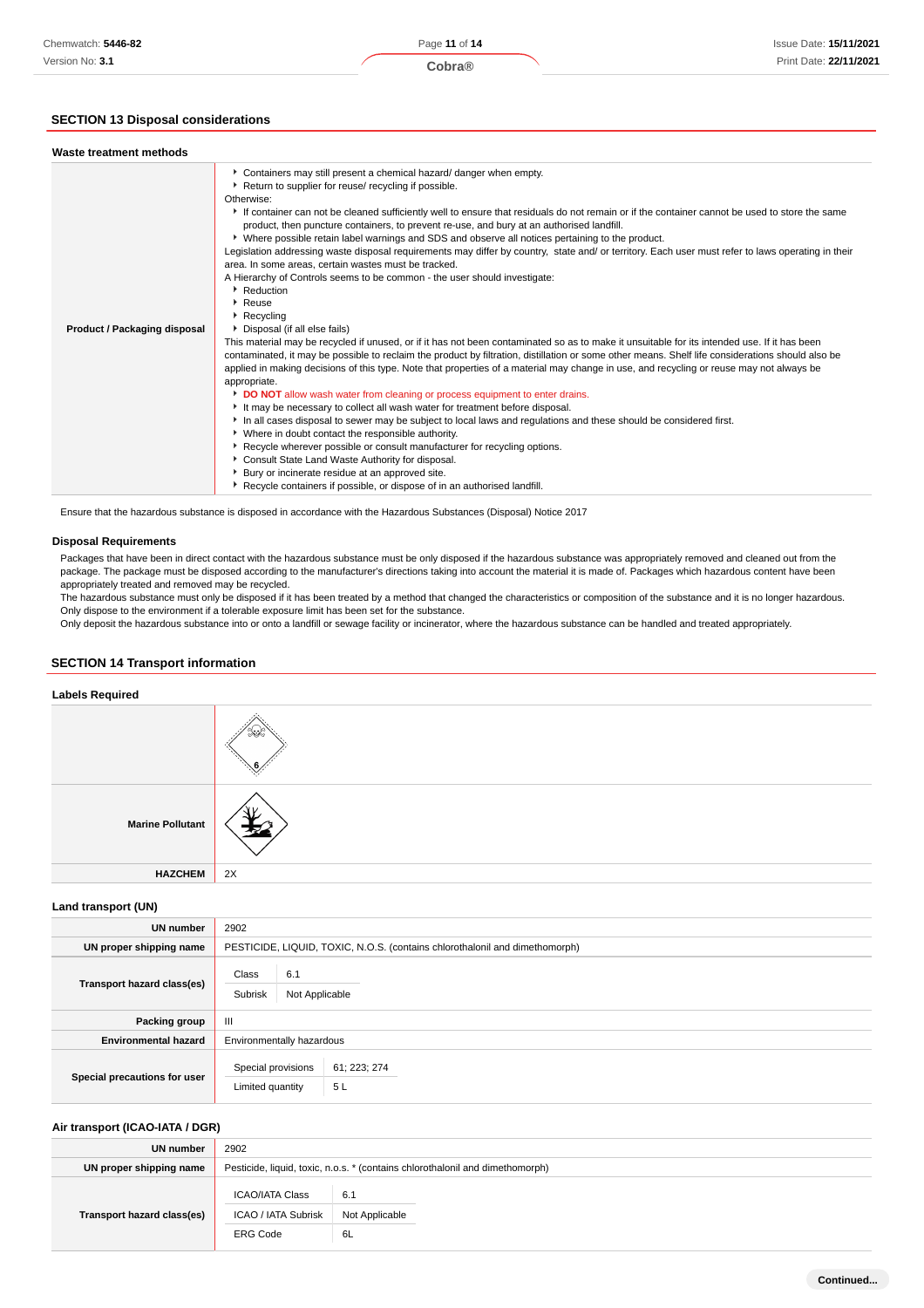# **SECTION 13 Disposal considerations**

| Waste treatment methods                                                                                |                                                                                                                                                                                                                                                                                                                                                                                                                                                                                                                                                                                                                                                                                                                                                                                                                                                                                                                                                                                                                                                                                                                                                                                                                                                                                                                                                                                                                                                                                                                                                                                                                                                                                                                                                                                                                                                                       |
|--------------------------------------------------------------------------------------------------------|-----------------------------------------------------------------------------------------------------------------------------------------------------------------------------------------------------------------------------------------------------------------------------------------------------------------------------------------------------------------------------------------------------------------------------------------------------------------------------------------------------------------------------------------------------------------------------------------------------------------------------------------------------------------------------------------------------------------------------------------------------------------------------------------------------------------------------------------------------------------------------------------------------------------------------------------------------------------------------------------------------------------------------------------------------------------------------------------------------------------------------------------------------------------------------------------------------------------------------------------------------------------------------------------------------------------------------------------------------------------------------------------------------------------------------------------------------------------------------------------------------------------------------------------------------------------------------------------------------------------------------------------------------------------------------------------------------------------------------------------------------------------------------------------------------------------------------------------------------------------------|
| Otherwise:<br>Reduction<br>▶ Reuse<br>Recycling<br><b>Product / Packaging disposal</b><br>appropriate. | Containers may still present a chemical hazard/ danger when empty.<br>Return to supplier for reuse/ recycling if possible.<br>If container can not be cleaned sufficiently well to ensure that residuals do not remain or if the container cannot be used to store the same<br>product, then puncture containers, to prevent re-use, and bury at an authorised landfill.<br>▶ Where possible retain label warnings and SDS and observe all notices pertaining to the product.<br>Legislation addressing waste disposal requirements may differ by country, state and/ or territory. Each user must refer to laws operating in their<br>area. In some areas, certain wastes must be tracked.<br>A Hierarchy of Controls seems to be common - the user should investigate:<br>Disposal (if all else fails)<br>This material may be recycled if unused, or if it has not been contaminated so as to make it unsuitable for its intended use. If it has been<br>contaminated, it may be possible to reclaim the product by filtration, distillation or some other means. Shelf life considerations should also be<br>applied in making decisions of this type. Note that properties of a material may change in use, and recycling or reuse may not always be<br>DO NOT allow wash water from cleaning or process equipment to enter drains.<br>It may be necessary to collect all wash water for treatment before disposal.<br>In all cases disposal to sewer may be subject to local laws and regulations and these should be considered first.<br>• Where in doubt contact the responsible authority.<br>▶ Recycle wherever possible or consult manufacturer for recycling options.<br>Consult State Land Waste Authority for disposal.<br>Bury or incinerate residue at an approved site.<br>Recycle containers if possible, or dispose of in an authorised landfill. |

Ensure that the hazardous substance is disposed in accordance with the Hazardous Substances (Disposal) Notice 2017

# **Disposal Requirements**

Packages that have been in direct contact with the hazardous substance must be only disposed if the hazardous substance was appropriately removed and cleaned out from the package. The package must be disposed according to the manufacturer's directions taking into account the material it is made of. Packages which hazardous content have been appropriately treated and removed may be recycled.

The hazardous substance must only be disposed if it has been treated by a method that changed the characteristics or composition of the substance and it is no longer hazardous. Only dispose to the environment if a tolerable exposure limit has been set for the substance.

Only deposit the hazardous substance into or onto a landfill or sewage facility or incinerator, where the hazardous substance can be handled and treated appropriately.

# **SECTION 14 Transport information**

# **Labels Required Marine Pollutant HAZCHEM** 2X

**Land transport (UN)**

| <b>UN number</b>             | 2902                                                                        |
|------------------------------|-----------------------------------------------------------------------------|
| UN proper shipping name      | PESTICIDE, LIQUID, TOXIC, N.O.S. (contains chlorothalonil and dimethomorph) |
| Transport hazard class(es)   | Class<br>6.1<br>Subrisk<br>Not Applicable                                   |
| Packing group                | $\mathbf{III}$                                                              |
| <b>Environmental hazard</b>  | Environmentally hazardous                                                   |
| Special precautions for user | Special provisions<br>61; 223; 274<br>5L<br>Limited quantity                |

# **Air transport (ICAO-IATA / DGR)**

| UN number                  | 2902                                                                          |                |
|----------------------------|-------------------------------------------------------------------------------|----------------|
| UN proper shipping name    | Pesticide, liquid, toxic, n.o.s. * (contains chlorothalonil and dimethomorph) |                |
|                            | <b>ICAO/IATA Class</b>                                                        | 6.1            |
| Transport hazard class(es) | ICAO / IATA Subrisk                                                           | Not Applicable |
|                            | <b>ERG Code</b>                                                               | 6L             |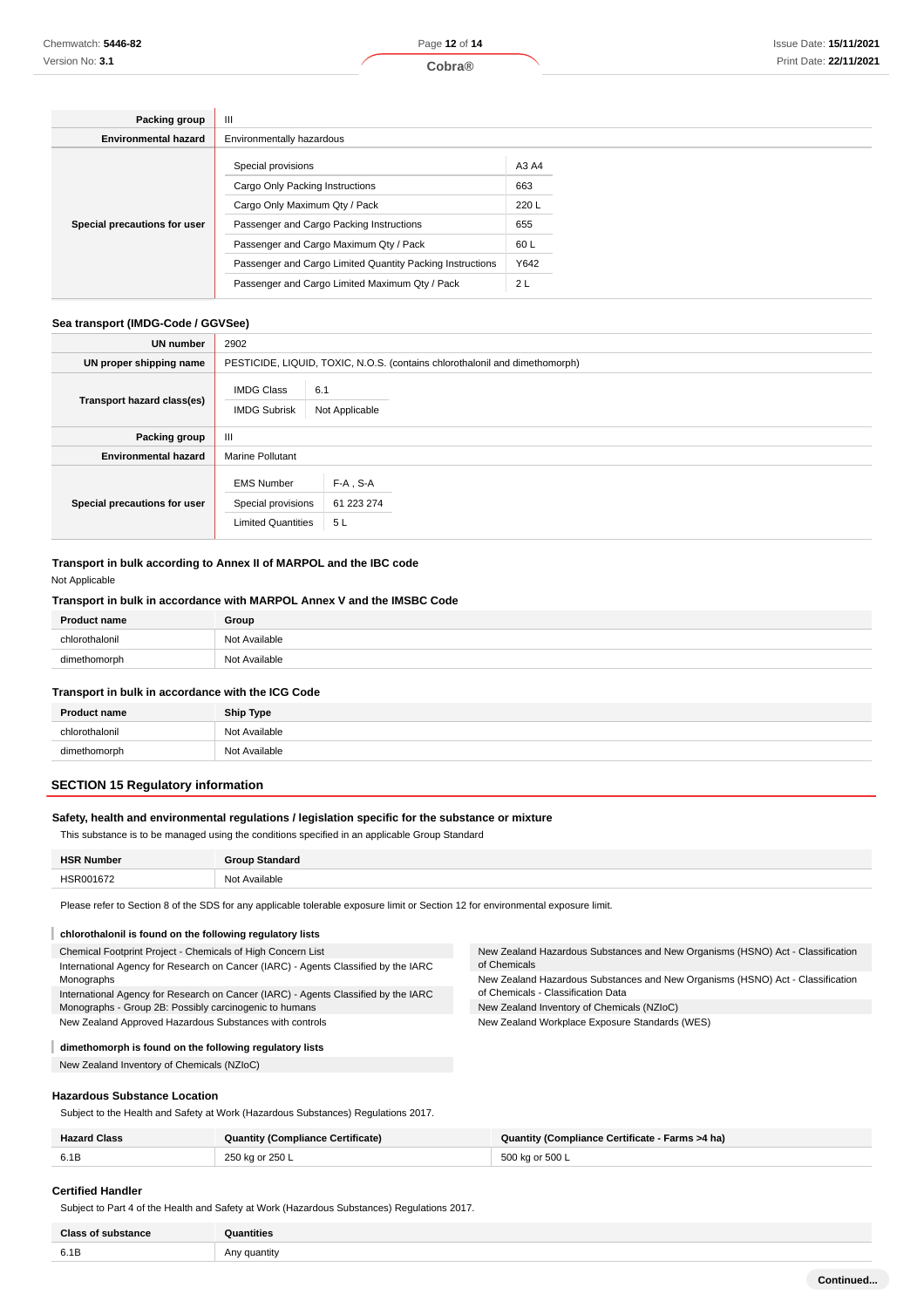| Packing group                | $\mathbf{III}$                                            |       |  |
|------------------------------|-----------------------------------------------------------|-------|--|
| <b>Environmental hazard</b>  | Environmentally hazardous                                 |       |  |
|                              | Special provisions                                        | A3 A4 |  |
|                              | Cargo Only Packing Instructions                           | 663   |  |
|                              | Cargo Only Maximum Qty / Pack                             | 220 L |  |
| Special precautions for user | Passenger and Cargo Packing Instructions                  | 655   |  |
|                              | Passenger and Cargo Maximum Qty / Pack                    | 60L   |  |
|                              | Passenger and Cargo Limited Quantity Packing Instructions | Y642  |  |
|                              | Passenger and Cargo Limited Maximum Qty / Pack            | 2L    |  |

# **Sea transport (IMDG-Code / GGVSee)**

| UN number                    | 2902                                                                 |                                                                             |  |
|------------------------------|----------------------------------------------------------------------|-----------------------------------------------------------------------------|--|
| UN proper shipping name      |                                                                      | PESTICIDE, LIQUID, TOXIC, N.O.S. (contains chlorothalonil and dimethomorph) |  |
| Transport hazard class(es)   | <b>IMDG Class</b><br><b>IMDG Subrisk</b>                             | 6.1<br>Not Applicable                                                       |  |
| Packing group                | $\mathbf{III}$                                                       |                                                                             |  |
| <b>Environmental hazard</b>  | <b>Marine Pollutant</b>                                              |                                                                             |  |
| Special precautions for user | <b>EMS Number</b><br>Special provisions<br><b>Limited Quantities</b> | $F-A$ , S-A<br>61 223 274<br>5L                                             |  |

# **Transport in bulk according to Annex II of MARPOL and the IBC code**

Not Applicable

# **Transport in bulk in accordance with MARPOL Annex V and the IMSBC Code**

| <b>Product name</b>    | Group                                                |
|------------------------|------------------------------------------------------|
| <b>Salonii</b><br>ohio | Not Available                                        |
| dim                    | : Available<br>No <sup>+</sup><br>.<br>$\sim$ $\sim$ |

### **Transport in bulk in accordance with the ICG Code**

| <b>Product name</b> | <b>Ship Type</b> |
|---------------------|------------------|
| chlorothalonil      | Not Available    |
| dimethomorph        | Not Available    |

# **SECTION 15 Regulatory information**

# **Safety, health and environmental regulations / legislation specific for the substance or mixture**

This substance is to be managed using the conditions specified in an applicable Group Standard

| <b>HSR Number</b> | Group Standard                 |
|-------------------|--------------------------------|
| HSR001672<br>.    | : Available<br>Not<br>.<br>___ |

Please refer to Section 8 of the SDS for any applicable tolerable exposure limit or Section 12 for environmental exposure limit.

| chlorothalonil is found on the following regulatory lists                                                                                         |                                                                                                                      |
|---------------------------------------------------------------------------------------------------------------------------------------------------|----------------------------------------------------------------------------------------------------------------------|
| Chemical Footprint Project - Chemicals of High Concern List<br>International Agency for Research on Cancer (IARC) - Agents Classified by the IARC | New Zealand Hazardous Substances and New Organisms (HSNO) Act - Classification<br>of Chemicals                       |
| Monographs<br>International Agency for Research on Cancer (IARC) - Agents Classified by the IARC                                                  | New Zealand Hazardous Substances and New Organisms (HSNO) Act - Classification<br>of Chemicals - Classification Data |
| Monographs - Group 2B: Possibly carcinogenic to humans                                                                                            | New Zealand Inventory of Chemicals (NZIoC)                                                                           |
| New Zealand Approved Hazardous Substances with controls                                                                                           | New Zealand Workplace Exposure Standards (WES)                                                                       |

# **dimethomorph is found on the following regulatory lists**

New Zealand Inventory of Chemicals (NZIoC)

**Hazardous Substance Location**

Subject to the Health and Safety at Work (Hazardous Substances) Regulations 2017.

| <b>Hazard Class</b> | <b>Quantity (Compliance Certificate)</b> | Quantity (Compliance Certificate - Farms >4 ha) |
|---------------------|------------------------------------------|-------------------------------------------------|
| 6.1B                | 250 ka or 250 L                          | $500$ ka or 500 L                               |

# **Certified Handler**

Subject to Part 4 of the Health and Safety at Work (Hazardous Substances) Regulations 2017.

| <b>Class of substance</b> | Quantities        |
|---------------------------|-------------------|
| 6.1B                      | Any quantity<br>. |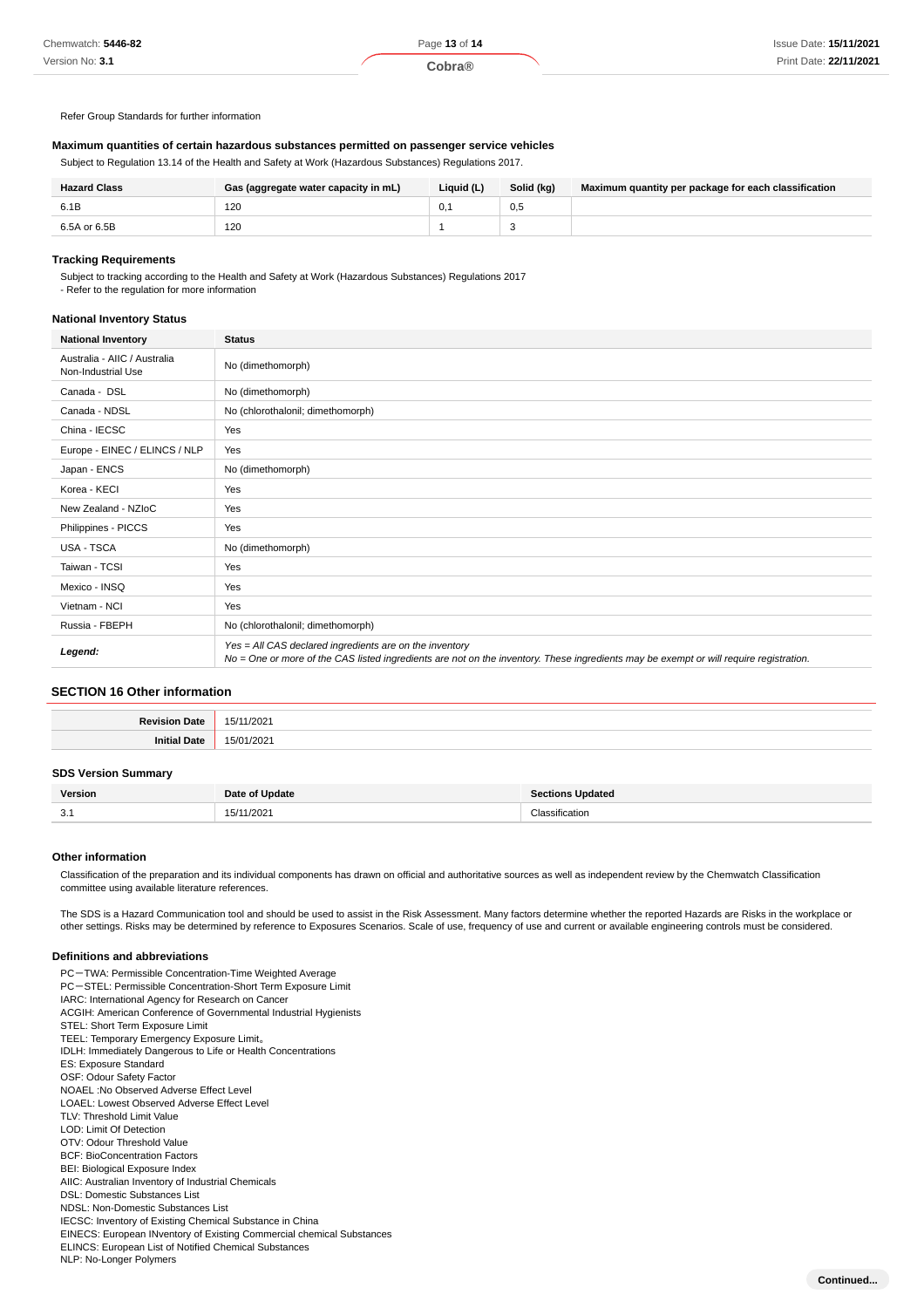Refer Group Standards for further information

# **Maximum quantities of certain hazardous substances permitted on passenger service vehicles**

Subject to Regulation 13.14 of the Health and Safety at Work (Hazardous Substances) Regulations 2017.

| <b>Hazard Class</b> | Gas (aggregate water capacity in mL) | Liquid (L) | Solid (kg) | Maximum quantity per package for each classification |
|---------------------|--------------------------------------|------------|------------|------------------------------------------------------|
| 6.1B                | 120                                  |            | 0.5        |                                                      |
| 6.5A or 6.5B        | 120                                  |            |            |                                                      |

# **Tracking Requirements**

Subject to tracking according to the Health and Safety at Work (Hazardous Substances) Regulations 2017

- Refer to the regulation for more information

### **National Inventory Status**

| <b>National Inventory</b>                          | <b>Status</b>                                                                                                                                                                                     |
|----------------------------------------------------|---------------------------------------------------------------------------------------------------------------------------------------------------------------------------------------------------|
| Australia - AIIC / Australia<br>Non-Industrial Use | No (dimethomorph)                                                                                                                                                                                 |
| Canada - DSL                                       | No (dimethomorph)                                                                                                                                                                                 |
| Canada - NDSL                                      | No (chlorothalonil; dimethomorph)                                                                                                                                                                 |
| China - IECSC                                      | Yes                                                                                                                                                                                               |
| Europe - EINEC / ELINCS / NLP                      | Yes                                                                                                                                                                                               |
| Japan - ENCS                                       | No (dimethomorph)                                                                                                                                                                                 |
| Korea - KECI                                       | Yes                                                                                                                                                                                               |
| New Zealand - NZIoC                                | Yes                                                                                                                                                                                               |
| Philippines - PICCS                                | Yes                                                                                                                                                                                               |
| USA - TSCA                                         | No (dimethomorph)                                                                                                                                                                                 |
| Taiwan - TCSI                                      | Yes                                                                                                                                                                                               |
| Mexico - INSQ                                      | Yes                                                                                                                                                                                               |
| Vietnam - NCI                                      | Yes                                                                                                                                                                                               |
| Russia - FBEPH                                     | No (chlorothalonil; dimethomorph)                                                                                                                                                                 |
| Legend:                                            | Yes = All CAS declared ingredients are on the inventory<br>No = One or more of the CAS listed ingredients are not on the inventory. These ingredients may be exempt or will require registration. |

# **SECTION 16 Other information**

| Dovision ·<br>' late | nno.<br>∽<br>ZUZ<br>v |
|----------------------|-----------------------|
| .                    | ____                  |
|                      |                       |

### **SDS Version Summary**

| Version       | Date of Update | <b>Sections Updated</b> |
|---------------|----------------|-------------------------|
| $\sim$<br>. ن | 15/11/2021     | :lassification          |

# **Other information**

Classification of the preparation and its individual components has drawn on official and authoritative sources as well as independent review by the Chemwatch Classification committee using available literature references.

The SDS is a Hazard Communication tool and should be used to assist in the Risk Assessment. Many factors determine whether the reported Hazards are Risks in the workplace or other settings. Risks may be determined by reference to Exposures Scenarios. Scale of use, frequency of use and current or available engineering controls must be considered.

### **Definitions and abbreviations**

PC-TWA: Permissible Concentration-Time Weighted Average PC-STEL: Permissible Concentration-Short Term Exposure Limit IARC: International Agency for Research on Cancer ACGIH: American Conference of Governmental Industrial Hygienists STEL: Short Term Exposure Limit TEEL: Temporary Emergency Exposure Limit。 IDLH: Immediately Dangerous to Life or Health Concentrations ES: Exposure Standard OSF: Odour Safety Factor NOAEL :No Observed Adverse Effect Level LOAEL: Lowest Observed Adverse Effect Level TLV: Threshold Limit Value LOD: Limit Of Detection OTV: Odour Threshold Value BCF: BioConcentration Factors BEI: Biological Exposure Index AIIC: Australian Inventory of Industrial Chemicals DSL: Domestic Substances List NDSL: Non-Domestic Substances List IECSC: Inventory of Existing Chemical Substance in China EINECS: European INventory of Existing Commercial chemical Substances ELINCS: European List of Notified Chemical Substances NLP: No-Longer Polymers